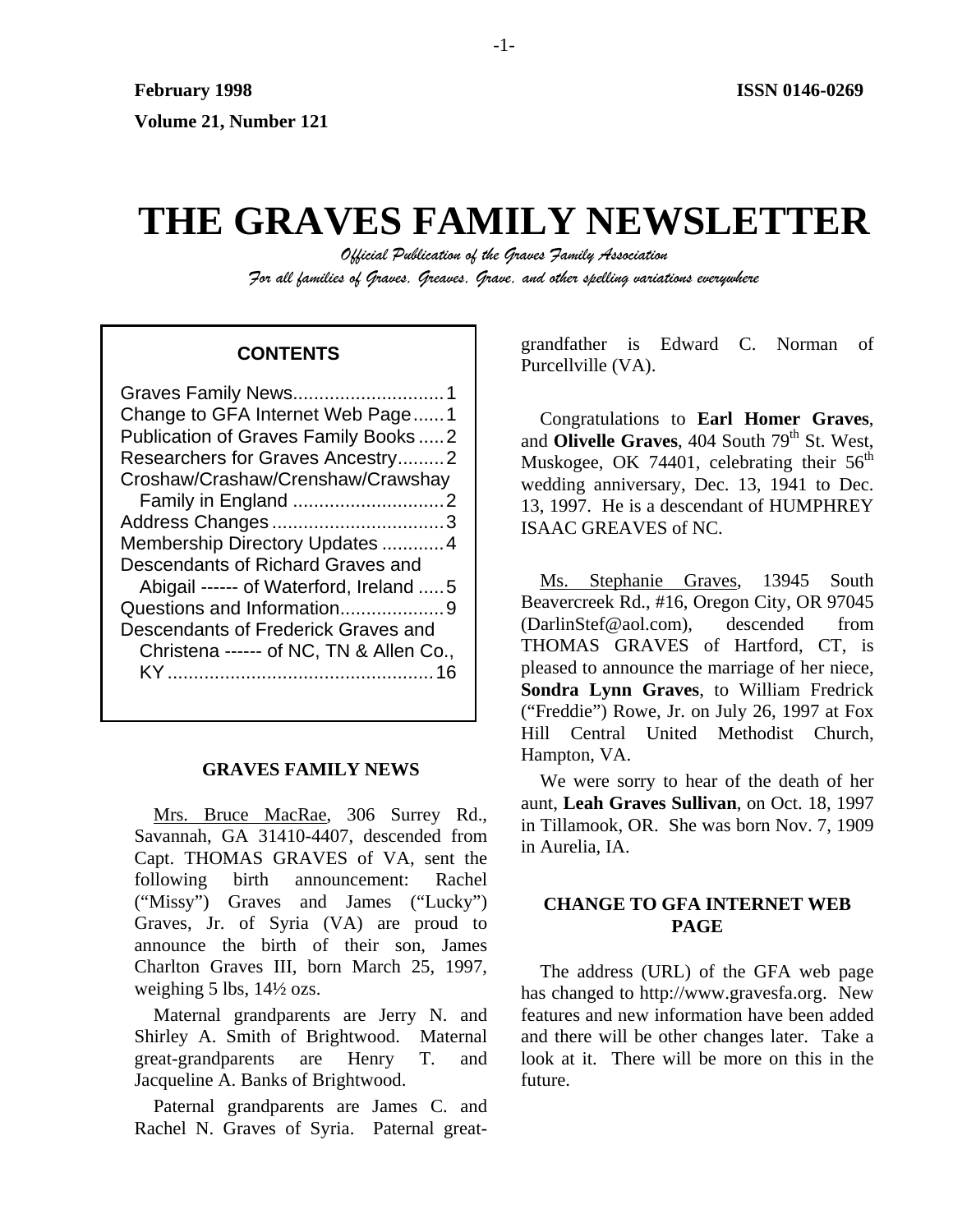# **THE GRAVES FAMILY NEWSLETTER**

*Official Publication of the Graves Family Association For all families of Graves, Greaves, Grave, and other spelling variations everywhere* 

| Change to GFA Internet Web Page1        |
|-----------------------------------------|
| Publication of Graves Family Books2     |
| Researchers for Graves Ancestry2        |
| Croshaw/Crashaw/Crenshaw/Crawshay       |
|                                         |
|                                         |
| Membership Directory Updates  4         |
| Descendants of Richard Graves and       |
| Abigail ------ of Waterford, Ireland  5 |
| Questions and Information9              |
| Descendants of Frederick Graves and     |
| Christena ------ of NC, TN & Allen Co., |
|                                         |
|                                         |

#### **GRAVES FAMILY NEWS**

Mrs. Bruce MacRae, 306 Surrey Rd., Savannah, GA 31410-4407, descended from Capt. THOMAS GRAVES of VA, sent the following birth announcement: Rachel ("Missy") Graves and James ("Lucky") Graves, Jr. of Syria (VA) are proud to announce the birth of their son, James Charlton Graves III, born March 25, 1997, weighing 5 lbs, 14½ ozs.

Maternal grandparents are Jerry N. and Shirley A. Smith of Brightwood. Maternal great-grandparents are Henry T. and Jacqueline A. Banks of Brightwood.

Paternal grandparents are James C. and Rachel N. Graves of Syria. Paternal great-

grandfather is Edward C. Norman of **CONTENTS** Purcellville (VA).

> Congratulations to **Earl Homer Graves**, and **Olivelle Graves**, 404 South 79<sup>th</sup> St. West, Muskogee, OK 74401, celebrating their  $56<sup>th</sup>$ wedding anniversary, Dec. 13, 1941 to Dec. 13, 1997. He is a descendant of HUMPHREY ISAAC GREAVES of NC.

> Ms. Stephanie Graves, 13945 South Beavercreek Rd., #16, Oregon City, OR 97045 (DarlinStef@aol.com), descended from THOMAS GRAVES of Hartford, CT, is pleased to announce the marriage of her niece, **Sondra Lynn Graves**, to William Fredrick ("Freddie") Rowe, Jr. on July 26, 1997 at Fox Hill Central United Methodist Church, Hampton, VA.

> We were sorry to hear of the death of her aunt, **Leah Graves Sullivan**, on Oct. 18, 1997 in Tillamook, OR. She was born Nov. 7, 1909 in Aurelia, IA.

# **CHANGE TO GFA INTERNET WEB PAGE**

The address (URL) of the GFA web page has changed to http://www.gravesfa.org. New features and new information have been added and there will be other changes later. Take a look at it. There will be more on this in the future.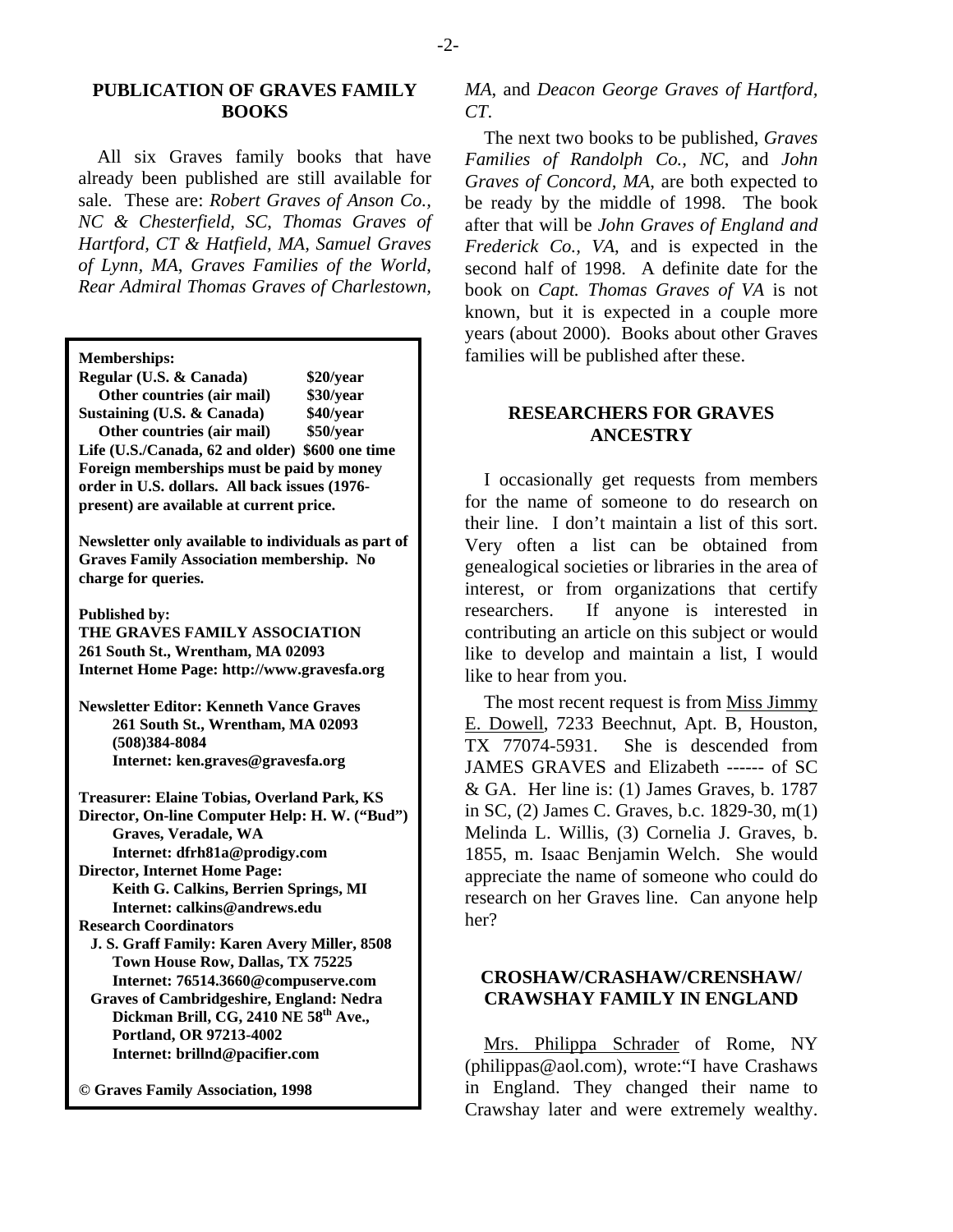### **PUBLICATION OF GRAVES FAMILY BOOKS**

All six Graves family books that have already been published are still available for sale. These are: *Robert Graves of Anson Co., NC & Chesterfield, SC*, *Thomas Graves of Hartford, CT & Hatfield, MA, Samuel Graves of Lynn, MA*, *Graves Families of the World*, *Rear Admiral Thomas Graves of Charlestown,* 

| Regular (U.S. & Canada)                         | \$20/year |  |
|-------------------------------------------------|-----------|--|
| Other countries (air mail)                      | \$30/year |  |
| Sustaining (U.S. & Canada)                      | \$40/year |  |
| Other countries (air mail)                      | \$50/year |  |
| Life (U.S./Canada, 62 and older) \$600 one time |           |  |
| Foreign memberships must be paid by money       |           |  |
| order in U.S. dollars. All back issues (1976-   |           |  |
| present) are available at current price.        |           |  |

**Newsletter only available to individuals as part of Graves Family Association membership. No charge for queries.** 

**Published by:** 

**THE GRAVES FAMILY ASSOCIATION 261 South St., Wrentham, MA 02093 Internet Home Page: http://www.gravesfa.org** 

**Newsletter Editor: Kenneth Vance Graves 261 South St., Wrentham, MA 02093 (508)384-8084 Internet: ken.graves@gravesfa.org** 

**Treasurer: Elaine Tobias, Overland Park, KS Director, On-line Computer Help: H. W. ("Bud") Graves, Veradale, WA Internet: dfrh81a@prodigy.com Director, Internet Home Page: Keith G. Calkins, Berrien Springs, MI Internet: calkins@andrews.edu** 

**Research Coordinators J. S. Graff Family: Karen Avery Miller, 8508 Town House Row, Dallas, TX 75225 Internet: 76514.3660@compuserve.com** 

 **Graves of Cambridgeshire, England: Nedra Dickman Brill, CG, 2410 NE 58th Ave., Portland, OR 97213-4002 Internet: brillnd@pacifier.com** 

**© Graves Family Association, 1998**

*MA*, and *Deacon George Graves of Hartford, CT*.

The next two books to be published, *Graves Families of Randolph Co., NC*, and *John Graves of Concord, MA*, are both expected to be ready by the middle of 1998. The book after that will be *John Graves of England and Frederick Co., VA*, and is expected in the second half of 1998. A definite date for the book on *Capt. Thomas Graves of VA* is not known, but it is expected in a couple more years (about 2000). Books about other Graves **Memberships:** families will be published after these.

# **RESEARCHERS FOR GRAVES ANCESTRY**

I occasionally get requests from members for the name of someone to do research on their line. I don't maintain a list of this sort. Very often a list can be obtained from genealogical societies or libraries in the area of interest, or from organizations that certify researchers. If anyone is interested in contributing an article on this subject or would like to develop and maintain a list, I would like to hear from you.

The most recent request is from Miss Jimmy E. Dowell, 7233 Beechnut, Apt. B, Houston, TX 77074-5931. She is descended from JAMES GRAVES and Elizabeth ------ of SC & GA. Her line is: (1) James Graves, b. 1787 in SC, (2) James C. Graves, b.c. 1829-30, m(1) Melinda L. Willis, (3) Cornelia J. Graves, b. 1855, m. Isaac Benjamin Welch. She would appreciate the name of someone who could do research on her Graves line. Can anyone help her?

# **CROSHAW/CRASHAW/CRENSHAW/ CRAWSHAY FAMILY IN ENGLAND**

Mrs. Philippa Schrader of Rome, NY (philippas@aol.com), wrote:"I have Crashaws in England. They changed their name to Crawshay later and were extremely wealthy.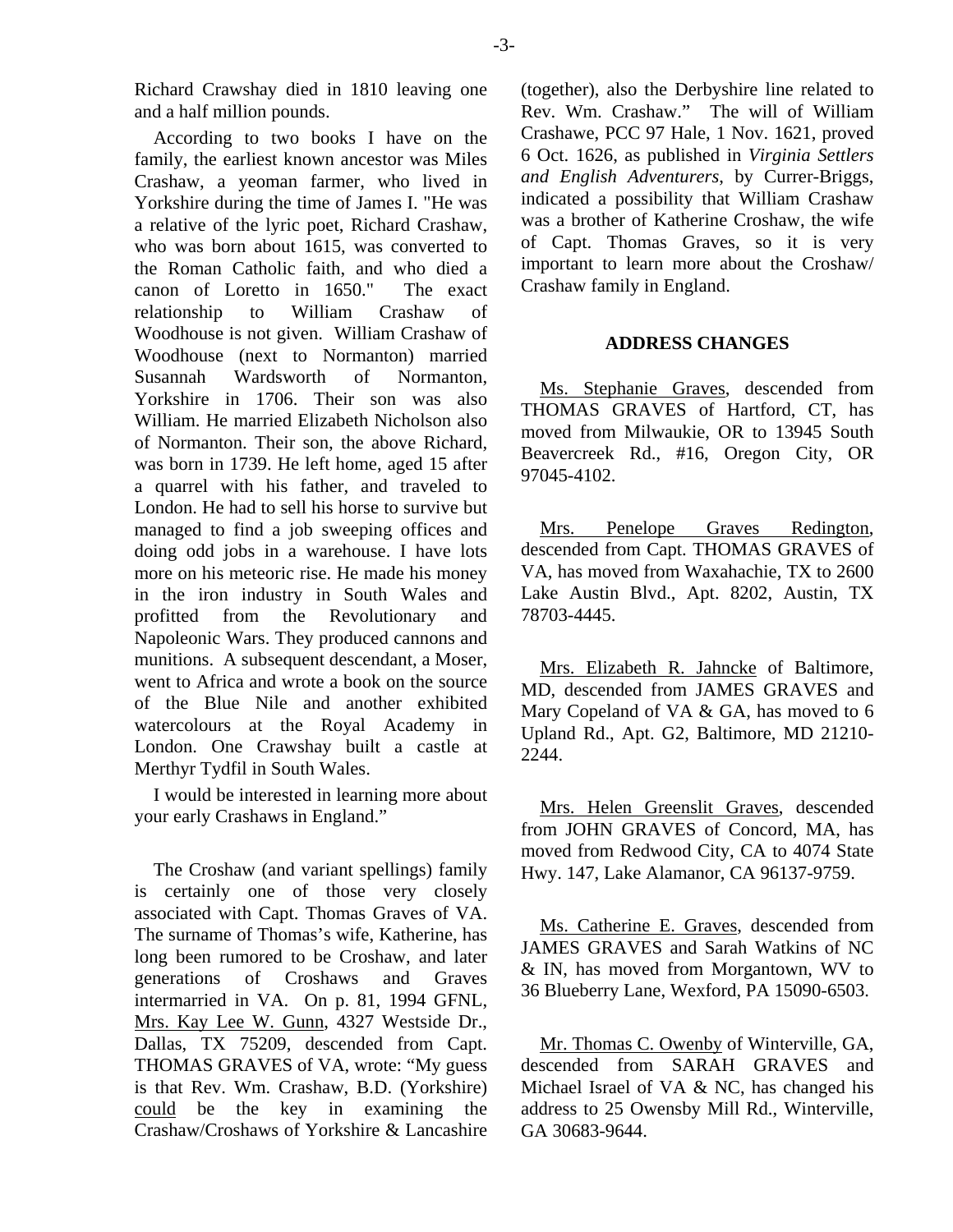Richard Crawshay died in 1810 leaving one and a half million pounds.

According to two books I have on the family, the earliest known ancestor was Miles Crashaw, a yeoman farmer, who lived in Yorkshire during the time of James I. "He was a relative of the lyric poet, Richard Crashaw, who was born about 1615, was converted to the Roman Catholic faith, and who died a canon of Loretto in 1650." The exact relationship to William Crashaw of Woodhouse is not given. William Crashaw of Woodhouse (next to Normanton) married Susannah Wardsworth of Normanton, Yorkshire in 1706. Their son was also William. He married Elizabeth Nicholson also of Normanton. Their son, the above Richard, was born in 1739. He left home, aged 15 after a quarrel with his father, and traveled to London. He had to sell his horse to survive but managed to find a job sweeping offices and doing odd jobs in a warehouse. I have lots more on his meteoric rise. He made his money in the iron industry in South Wales and profitted from the Revolutionary and Napoleonic Wars. They produced cannons and munitions. A subsequent descendant, a Moser, went to Africa and wrote a book on the source of the Blue Nile and another exhibited watercolours at the Royal Academy in London. One Crawshay built a castle at Merthyr Tydfil in South Wales.

I would be interested in learning more about your early Crashaws in England."

The Croshaw (and variant spellings) family is certainly one of those very closely associated with Capt. Thomas Graves of VA. The surname of Thomas's wife, Katherine, has long been rumored to be Croshaw, and later generations of Croshaws and Graves intermarried in VA. On p. 81, 1994 GFNL, Mrs. Kay Lee W. Gunn, 4327 Westside Dr., Dallas, TX 75209, descended from Capt. THOMAS GRAVES of VA, wrote: "My guess is that Rev. Wm. Crashaw, B.D. (Yorkshire) could be the key in examining the Crashaw/Croshaws of Yorkshire & Lancashire

(together), also the Derbyshire line related to Rev. Wm. Crashaw." The will of William Crashawe, PCC 97 Hale, 1 Nov. 1621, proved 6 Oct. 1626, as published in *Virginia Settlers and English Adventurers*, by Currer-Briggs, indicated a possibility that William Crashaw was a brother of Katherine Croshaw, the wife of Capt. Thomas Graves, so it is very important to learn more about the Croshaw/ Crashaw family in England.

#### **ADDRESS CHANGES**

Ms. Stephanie Graves, descended from THOMAS GRAVES of Hartford, CT, has moved from Milwaukie, OR to 13945 South Beavercreek Rd., #16, Oregon City, OR 97045-4102.

Mrs. Penelope Graves Redington, descended from Capt. THOMAS GRAVES of VA, has moved from Waxahachie, TX to 2600 Lake Austin Blvd., Apt. 8202, Austin, TX 78703-4445.

Mrs. Elizabeth R. Jahncke of Baltimore, MD, descended from JAMES GRAVES and Mary Copeland of VA & GA, has moved to 6 Upland Rd., Apt. G2, Baltimore, MD 21210- 2244.

Mrs. Helen Greenslit Graves, descended from JOHN GRAVES of Concord, MA, has moved from Redwood City, CA to 4074 State Hwy. 147, Lake Alamanor, CA 96137-9759.

Ms. Catherine E. Graves, descended from JAMES GRAVES and Sarah Watkins of NC & IN, has moved from Morgantown, WV to 36 Blueberry Lane, Wexford, PA 15090-6503.

Mr. Thomas C. Owenby of Winterville, GA, descended from SARAH GRAVES and Michael Israel of VA & NC, has changed his address to 25 Owensby Mill Rd., Winterville, GA 30683-9644.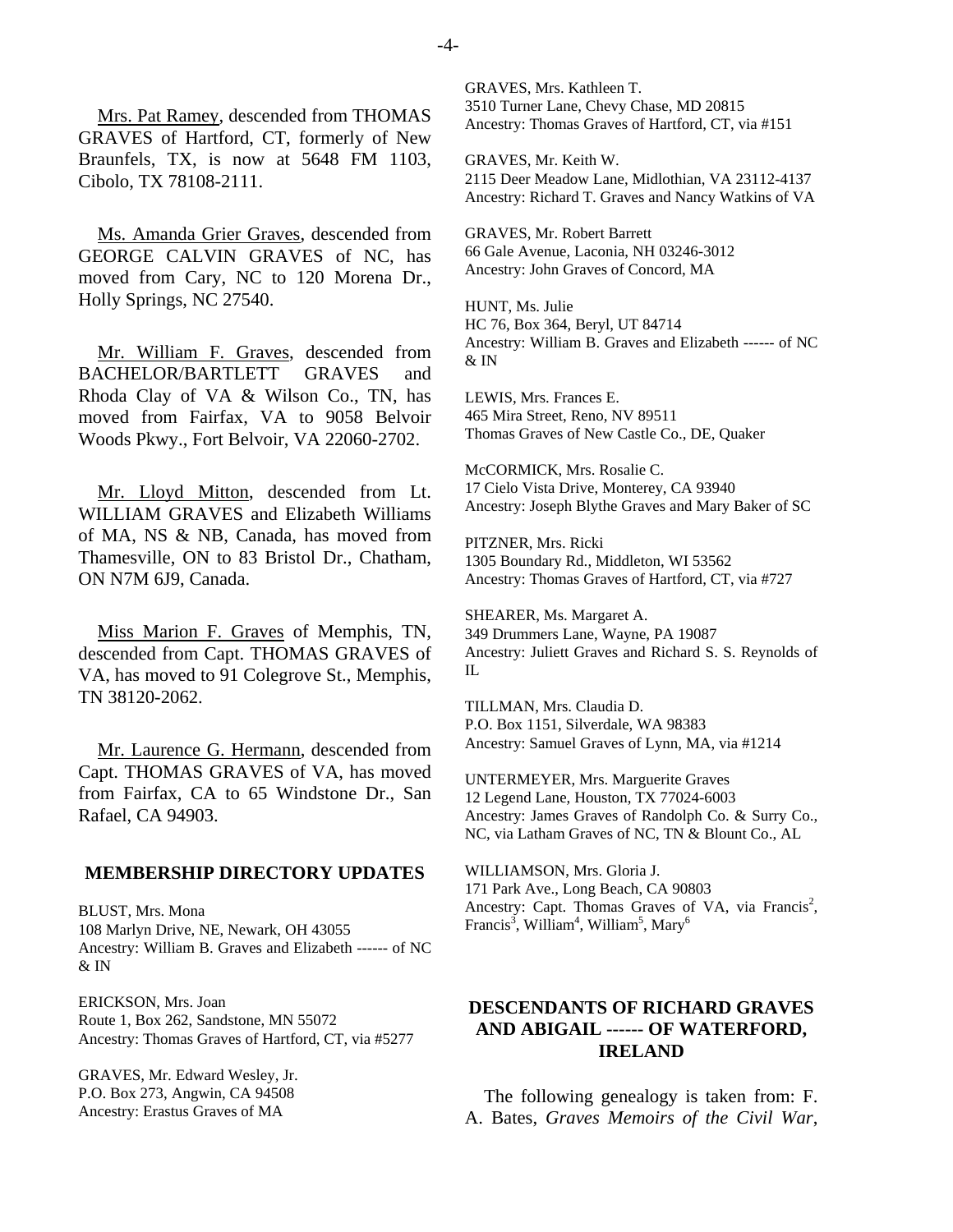Mrs. Pat Ramey, descended from THOMAS GRAVES of Hartford, CT, formerly of New Braunfels, TX, is now at 5648 FM 1103, Cibolo, TX 78108-2111.

Ms. Amanda Grier Graves, descended from GEORGE CALVIN GRAVES of NC, has moved from Cary, NC to 120 Morena Dr., Holly Springs, NC 27540.

Mr. William F. Graves, descended from BACHELOR/BARTLETT GRAVES and Rhoda Clay of VA & Wilson Co., TN, has moved from Fairfax, VA to 9058 Belvoir Woods Pkwy., Fort Belvoir, VA 22060-2702.

Mr. Lloyd Mitton, descended from Lt. WILLIAM GRAVES and Elizabeth Williams of MA, NS & NB, Canada, has moved from Thamesville, ON to 83 Bristol Dr., Chatham, ON N7M 6J9, Canada.

Miss Marion F. Graves of Memphis, TN, descended from Capt. THOMAS GRAVES of VA, has moved to 91 Colegrove St., Memphis, TN 38120-2062.

Mr. Laurence G. Hermann, descended from Capt. THOMAS GRAVES of VA, has moved from Fairfax, CA to 65 Windstone Dr., San Rafael, CA 94903.

#### **MEMBERSHIP DIRECTORY UPDATES**

BLUST, Mrs. Mona 108 Marlyn Drive, NE, Newark, OH 43055 Ancestry: William B. Graves and Elizabeth ------ of NC & IN

ERICKSON, Mrs. Joan Route 1, Box 262, Sandstone, MN 55072 Ancestry: Thomas Graves of Hartford, CT, via #5277

GRAVES, Mr. Edward Wesley, Jr. P.O. Box 273, Angwin, CA 94508 Ancestry: Erastus Graves of MA

GRAVES, Mrs. Kathleen T. 3510 Turner Lane, Chevy Chase, MD 20815 Ancestry: Thomas Graves of Hartford, CT, via #151

GRAVES, Mr. Keith W. 2115 Deer Meadow Lane, Midlothian, VA 23112-4137 Ancestry: Richard T. Graves and Nancy Watkins of VA

GRAVES, Mr. Robert Barrett 66 Gale Avenue, Laconia, NH 03246-3012 Ancestry: John Graves of Concord, MA

HUNT, Ms. Julie HC 76, Box 364, Beryl, UT 84714 Ancestry: William B. Graves and Elizabeth ------ of NC  $\&$  IN

LEWIS, Mrs. Frances E. 465 Mira Street, Reno, NV 89511 Thomas Graves of New Castle Co., DE, Quaker

McCORMICK, Mrs. Rosalie C. 17 Cielo Vista Drive, Monterey, CA 93940 Ancestry: Joseph Blythe Graves and Mary Baker of SC

PITZNER, Mrs. Ricki 1305 Boundary Rd., Middleton, WI 53562 Ancestry: Thomas Graves of Hartford, CT, via #727

SHEARER, Ms. Margaret A. 349 Drummers Lane, Wayne, PA 19087 Ancestry: Juliett Graves and Richard S. S. Reynolds of  $\Pi$ .

TILLMAN, Mrs. Claudia D. P.O. Box 1151, Silverdale, WA 98383 Ancestry: Samuel Graves of Lynn, MA, via #1214

UNTERMEYER, Mrs. Marguerite Graves 12 Legend Lane, Houston, TX 77024-6003 Ancestry: James Graves of Randolph Co. & Surry Co., NC, via Latham Graves of NC, TN & Blount Co., AL

WILLIAMSON, Mrs. Gloria J. 171 Park Ave., Long Beach, CA 90803 Ancestry: Capt. Thomas Graves of VA, via Francis<sup>2</sup>, Francis<sup>3</sup>, William<sup>4</sup>, William<sup>5</sup>, Mary<sup>6</sup>

# **DESCENDANTS OF RICHARD GRAVES AND ABIGAIL ------ OF WATERFORD, IRELAND**

The following genealogy is taken from: F. A. Bates, *Graves Memoirs of the Civil War*,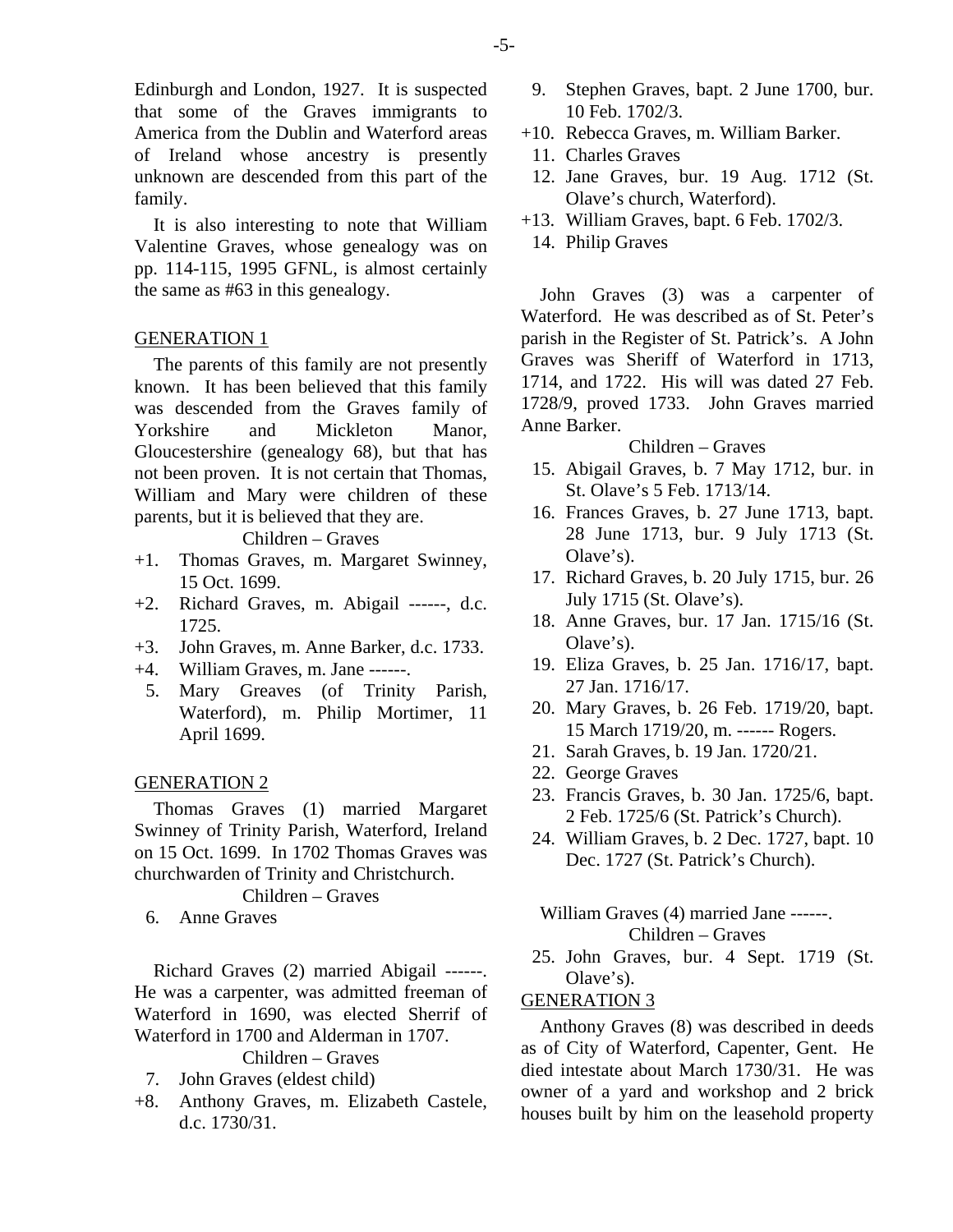Edinburgh and London, 1927. It is suspected that some of the Graves immigrants to America from the Dublin and Waterford areas of Ireland whose ancestry is presently unknown are descended from this part of the family.

It is also interesting to note that William Valentine Graves, whose genealogy was on pp. 114-115, 1995 GFNL, is almost certainly the same as #63 in this genealogy.

# GENERATION 1

The parents of this family are not presently known. It has been believed that this family was descended from the Graves family of Yorkshire and Mickleton Manor, Gloucestershire (genealogy 68), but that has not been proven. It is not certain that Thomas, William and Mary were children of these parents, but it is believed that they are.

Children – Graves

- +1. Thomas Graves, m. Margaret Swinney, 15 Oct. 1699.
- +2. Richard Graves, m. Abigail ------, d.c. 1725.
- +3. John Graves, m. Anne Barker, d.c. 1733.
- +4. William Graves, m. Jane ------.
	- 5. Mary Greaves (of Trinity Parish, Waterford), m. Philip Mortimer, 11 April 1699.

#### GENERATION 2

Thomas Graves (1) married Margaret Swinney of Trinity Parish, Waterford, Ireland on 15 Oct. 1699. In 1702 Thomas Graves was churchwarden of Trinity and Christchurch.

Children – Graves

6. Anne Graves

Richard Graves (2) married Abigail ------. He was a carpenter, was admitted freeman of Waterford in 1690, was elected Sherrif of Waterford in 1700 and Alderman in 1707.

Children – Graves

- 7. John Graves (eldest child)
- +8. Anthony Graves, m. Elizabeth Castele, d.c. 1730/31.
- 9. Stephen Graves, bapt. 2 June 1700, bur. 10 Feb. 1702/3.
- +10. Rebecca Graves, m. William Barker.
- 11. Charles Graves
- 12. Jane Graves, bur. 19 Aug. 1712 (St. Olave's church, Waterford).
- +13. William Graves, bapt. 6 Feb. 1702/3.
	- 14. Philip Graves

John Graves (3) was a carpenter of Waterford. He was described as of St. Peter's parish in the Register of St. Patrick's. A John Graves was Sheriff of Waterford in 1713, 1714, and 1722. His will was dated 27 Feb. 1728/9, proved 1733. John Graves married Anne Barker.

#### Children – Graves

- 15. Abigail Graves, b. 7 May 1712, bur. in St. Olave's 5 Feb. 1713/14.
- 16. Frances Graves, b. 27 June 1713, bapt. 28 June 1713, bur. 9 July 1713 (St. Olave's).
- 17. Richard Graves, b. 20 July 1715, bur. 26 July 1715 (St. Olave's).
- 18. Anne Graves, bur. 17 Jan. 1715/16 (St. Olave's).
- 19. Eliza Graves, b. 25 Jan. 1716/17, bapt. 27 Jan. 1716/17.
- 20. Mary Graves, b. 26 Feb. 1719/20, bapt. 15 March 1719/20, m. ------ Rogers.
- 21. Sarah Graves, b. 19 Jan. 1720/21.
- 22. George Graves
- 23. Francis Graves, b. 30 Jan. 1725/6, bapt. 2 Feb. 1725/6 (St. Patrick's Church).
- 24. William Graves, b. 2 Dec. 1727, bapt. 10 Dec. 1727 (St. Patrick's Church).

William Graves (4) married Jane ------. Children – Graves

 25. John Graves, bur. 4 Sept. 1719 (St. Olave's).

#### GENERATION 3

Anthony Graves (8) was described in deeds as of City of Waterford, Capenter, Gent. He died intestate about March 1730/31. He was owner of a yard and workshop and 2 brick houses built by him on the leasehold property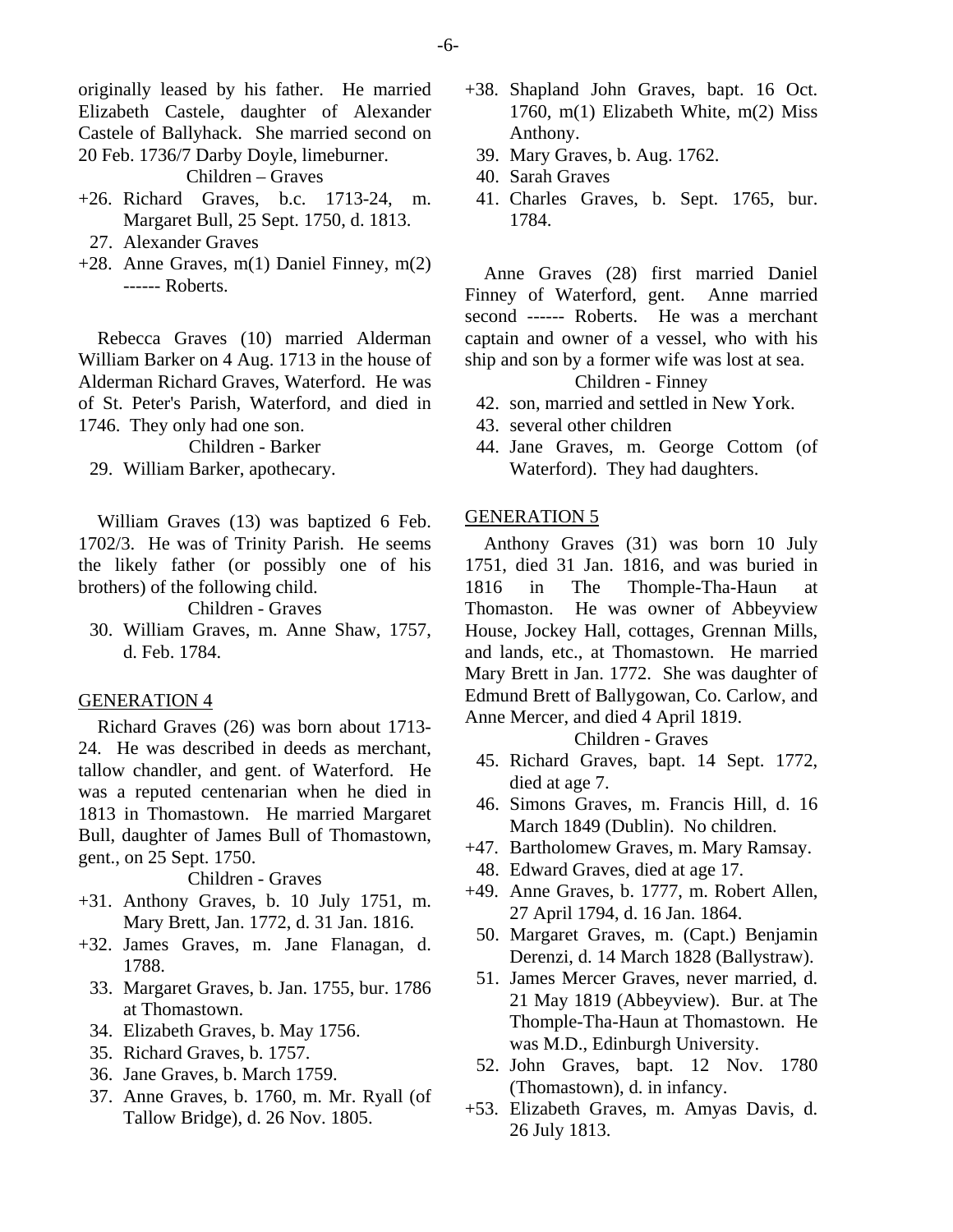originally leased by his father. He married Elizabeth Castele, daughter of Alexander Castele of Ballyhack. She married second on 20 Feb. 1736/7 Darby Doyle, limeburner.

Children – Graves

- +26. Richard Graves, b.c. 1713-24, m. Margaret Bull, 25 Sept. 1750, d. 1813.
	- 27. Alexander Graves
- +28. Anne Graves, m(1) Daniel Finney, m(2) ------ Roberts.

Rebecca Graves (10) married Alderman William Barker on 4 Aug. 1713 in the house of Alderman Richard Graves, Waterford. He was of St. Peter's Parish, Waterford, and died in 1746. They only had one son.

Children - Barker

29. William Barker, apothecary.

William Graves (13) was baptized 6 Feb. 1702/3. He was of Trinity Parish. He seems the likely father (or possibly one of his brothers) of the following child.

Children - Graves

 30. William Graves, m. Anne Shaw, 1757, d. Feb. 1784.

#### GENERATION 4

Richard Graves (26) was born about 1713- 24. He was described in deeds as merchant, tallow chandler, and gent. of Waterford. He was a reputed centenarian when he died in 1813 in Thomastown. He married Margaret Bull, daughter of James Bull of Thomastown, gent., on 25 Sept. 1750.

Children - Graves

- +31. Anthony Graves, b. 10 July 1751, m. Mary Brett, Jan. 1772, d. 31 Jan. 1816.
- +32. James Graves, m. Jane Flanagan, d. 1788.
	- 33. Margaret Graves, b. Jan. 1755, bur. 1786 at Thomastown.
	- 34. Elizabeth Graves, b. May 1756.
	- 35. Richard Graves, b. 1757.
	- 36. Jane Graves, b. March 1759.
	- 37. Anne Graves, b. 1760, m. Mr. Ryall (of Tallow Bridge), d. 26 Nov. 1805.
- +38. Shapland John Graves, bapt. 16 Oct. 1760, m(1) Elizabeth White, m(2) Miss Anthony.
	- 39. Mary Graves, b. Aug. 1762.
	- 40. Sarah Graves
	- 41. Charles Graves, b. Sept. 1765, bur. 1784.

Anne Graves (28) first married Daniel Finney of Waterford, gent. Anne married second ------ Roberts. He was a merchant captain and owner of a vessel, who with his ship and son by a former wife was lost at sea.

Children - Finney

- 42. son, married and settled in New York.
- 43. several other children
- 44. Jane Graves, m. George Cottom (of Waterford). They had daughters.

#### GENERATION 5

Anthony Graves (31) was born 10 July 1751, died 31 Jan. 1816, and was buried in 1816 in The Thomple-Tha-Haun at Thomaston. He was owner of Abbeyview House, Jockey Hall, cottages, Grennan Mills, and lands, etc., at Thomastown. He married Mary Brett in Jan. 1772. She was daughter of Edmund Brett of Ballygowan, Co. Carlow, and Anne Mercer, and died 4 April 1819.

Children - Graves

- 45. Richard Graves, bapt. 14 Sept. 1772, died at age 7.
- 46. Simons Graves, m. Francis Hill, d. 16 March 1849 (Dublin). No children.
- +47. Bartholomew Graves, m. Mary Ramsay.
- 48. Edward Graves, died at age 17.
- +49. Anne Graves, b. 1777, m. Robert Allen, 27 April 1794, d. 16 Jan. 1864.
	- 50. Margaret Graves, m. (Capt.) Benjamin Derenzi, d. 14 March 1828 (Ballystraw).
	- 51. James Mercer Graves, never married, d. 21 May 1819 (Abbeyview). Bur. at The Thomple-Tha-Haun at Thomastown. He was M.D., Edinburgh University.
- 52. John Graves, bapt. 12 Nov. 1780 (Thomastown), d. in infancy.
- +53. Elizabeth Graves, m. Amyas Davis, d. 26 July 1813.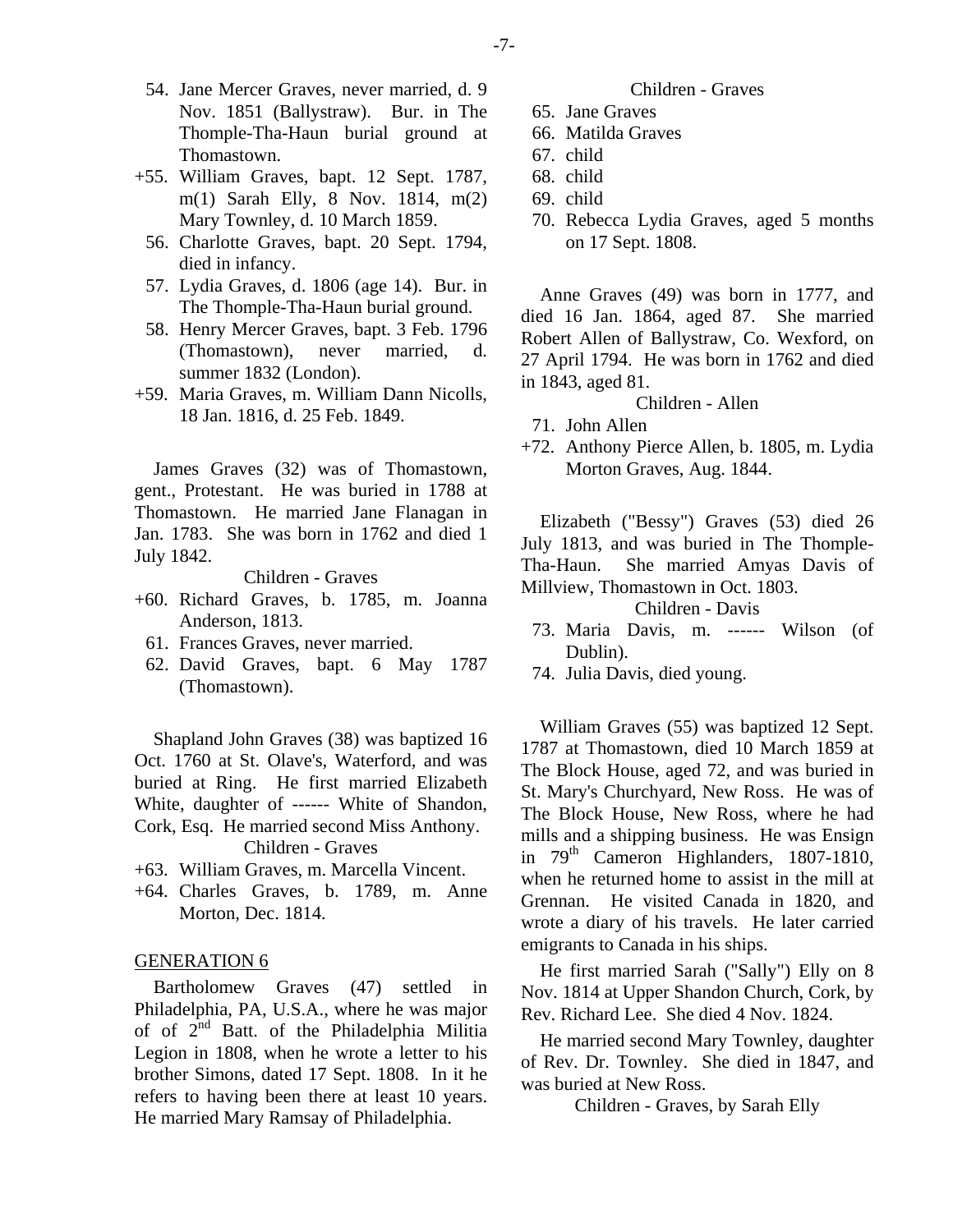- 54. Jane Mercer Graves, never married, d. 9 Nov. 1851 (Ballystraw). Bur. in The Thomple-Tha-Haun burial ground at Thomastown.
- +55. William Graves, bapt. 12 Sept. 1787, m(1) Sarah Elly, 8 Nov. 1814, m(2) Mary Townley, d. 10 March 1859.
	- 56. Charlotte Graves, bapt. 20 Sept. 1794, died in infancy.
	- 57. Lydia Graves, d. 1806 (age 14). Bur. in The Thomple-Tha-Haun burial ground.
	- 58. Henry Mercer Graves, bapt. 3 Feb. 1796 (Thomastown), never married, d. summer 1832 (London).
- +59. Maria Graves, m. William Dann Nicolls, 18 Jan. 1816, d. 25 Feb. 1849.

James Graves (32) was of Thomastown, gent., Protestant. He was buried in 1788 at Thomastown. He married Jane Flanagan in Jan. 1783. She was born in 1762 and died 1 July 1842.

Children - Graves

- +60. Richard Graves, b. 1785, m. Joanna Anderson, 1813.
	- 61. Frances Graves, never married.
	- 62. David Graves, bapt. 6 May 1787 (Thomastown).

Shapland John Graves (38) was baptized 16 Oct. 1760 at St. Olave's, Waterford, and was buried at Ring. He first married Elizabeth White, daughter of ------ White of Shandon, Cork, Esq. He married second Miss Anthony. Children - Graves

- +63. William Graves, m. Marcella Vincent.
- +64. Charles Graves, b. 1789, m. Anne Morton, Dec. 1814.

#### GENERATION 6

Bartholomew Graves (47) settled in Philadelphia, PA, U.S.A., where he was major of of 2nd Batt. of the Philadelphia Militia Legion in 1808, when he wrote a letter to his brother Simons, dated 17 Sept. 1808. In it he refers to having been there at least 10 years. He married Mary Ramsay of Philadelphia.

#### Children - Graves

- 65. Jane Graves
- 66. Matilda Graves
- 67. child
- 68. child
- 69. child
- 70. Rebecca Lydia Graves, aged 5 months on 17 Sept. 1808.

Anne Graves (49) was born in 1777, and died 16 Jan. 1864, aged 87. She married Robert Allen of Ballystraw, Co. Wexford, on 27 April 1794. He was born in 1762 and died in 1843, aged 81.

Children - Allen

- 71. John Allen
- +72. Anthony Pierce Allen, b. 1805, m. Lydia Morton Graves, Aug. 1844.

Elizabeth ("Bessy") Graves (53) died 26 July 1813, and was buried in The Thomple-Tha-Haun. She married Amyas Davis of Millview, Thomastown in Oct. 1803.

Children - Davis

- 73. Maria Davis, m. ------ Wilson (of Dublin).
- 74. Julia Davis, died young.

William Graves (55) was baptized 12 Sept. 1787 at Thomastown, died 10 March 1859 at The Block House, aged 72, and was buried in St. Mary's Churchyard, New Ross. He was of The Block House, New Ross, where he had mills and a shipping business. He was Ensign in  $79<sup>th</sup>$  Cameron Highlanders, 1807-1810, when he returned home to assist in the mill at Grennan. He visited Canada in 1820, and wrote a diary of his travels. He later carried emigrants to Canada in his ships.

He first married Sarah ("Sally") Elly on 8 Nov. 1814 at Upper Shandon Church, Cork, by Rev. Richard Lee. She died 4 Nov. 1824.

He married second Mary Townley, daughter of Rev. Dr. Townley. She died in 1847, and was buried at New Ross.

Children - Graves, by Sarah Elly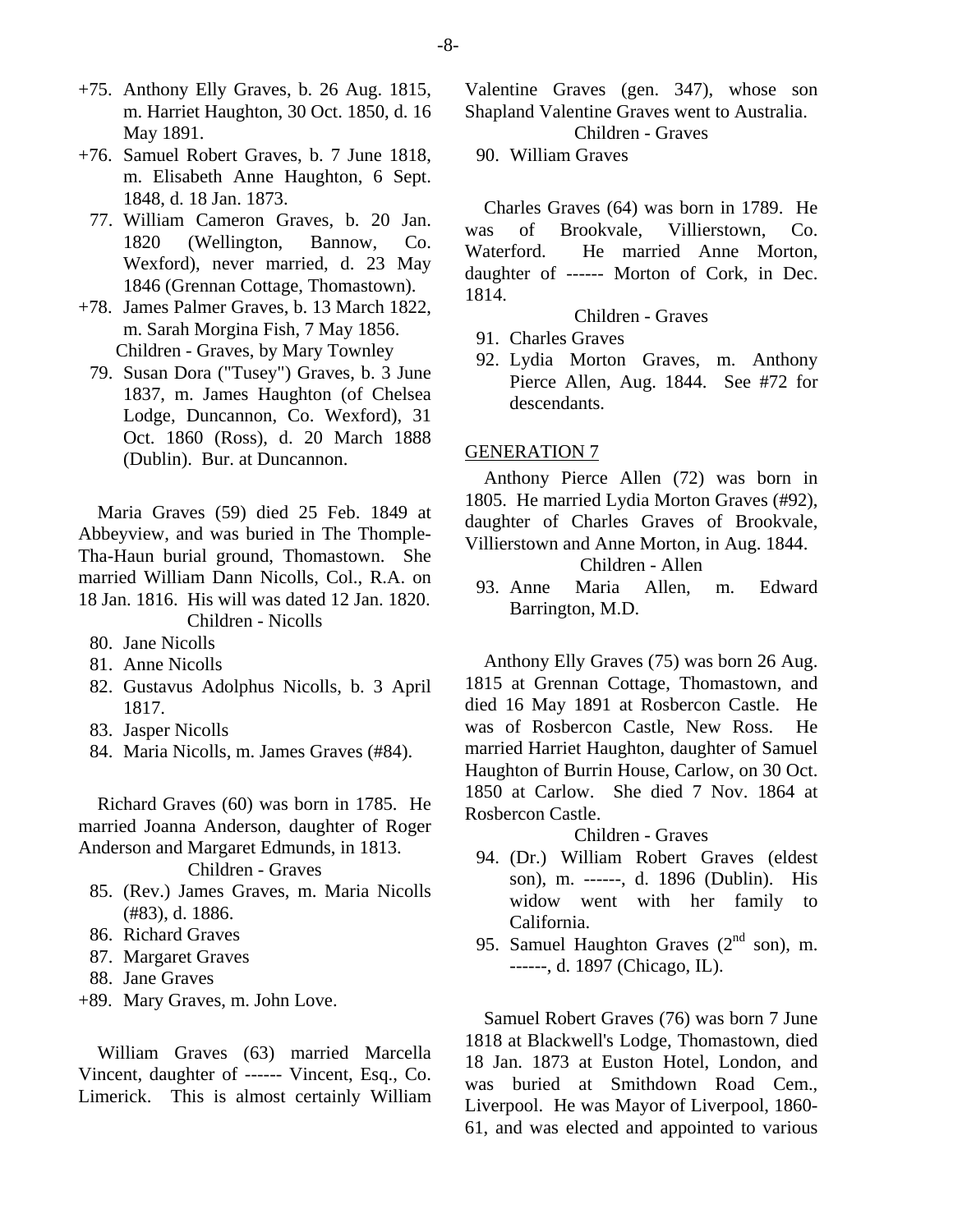- +75. Anthony Elly Graves, b. 26 Aug. 1815, m. Harriet Haughton, 30 Oct. 1850, d. 16 May 1891.
- +76. Samuel Robert Graves, b. 7 June 1818, m. Elisabeth Anne Haughton, 6 Sept. 1848, d. 18 Jan. 1873.
- 77. William Cameron Graves, b. 20 Jan. 1820 (Wellington, Bannow, Co. Wexford), never married, d. 23 May 1846 (Grennan Cottage, Thomastown).
- +78. James Palmer Graves, b. 13 March 1822, m. Sarah Morgina Fish, 7 May 1856. Children - Graves, by Mary Townley
	- 79. Susan Dora ("Tusey") Graves, b. 3 June 1837, m. James Haughton (of Chelsea Lodge, Duncannon, Co. Wexford), 31 Oct. 1860 (Ross), d. 20 March 1888 (Dublin). Bur. at Duncannon.

Maria Graves (59) died 25 Feb. 1849 at Abbeyview, and was buried in The Thomple-Tha-Haun burial ground, Thomastown. She married William Dann Nicolls, Col., R.A. on 18 Jan. 1816. His will was dated 12 Jan. 1820. Children - Nicolls

- 80. Jane Nicolls
- 81. Anne Nicolls
- 82. Gustavus Adolphus Nicolls, b. 3 April 1817.
- 83. Jasper Nicolls
- 84. Maria Nicolls, m. James Graves (#84).

Richard Graves (60) was born in 1785. He married Joanna Anderson, daughter of Roger Anderson and Margaret Edmunds, in 1813.

Children - Graves

- 85. (Rev.) James Graves, m. Maria Nicolls (#83), d. 1886.
- 86. Richard Graves
- 87. Margaret Graves
- 88. Jane Graves
- +89. Mary Graves, m. John Love.

William Graves (63) married Marcella Vincent, daughter of ------ Vincent, Esq., Co. Limerick. This is almost certainly William

Valentine Graves (gen. 347), whose son Shapland Valentine Graves went to Australia.

Children - Graves

90. William Graves

Charles Graves (64) was born in 1789. He was of Brookvale, Villierstown, Co. Waterford. He married Anne Morton, daughter of ------ Morton of Cork, in Dec. 1814.

Children - Graves

- 91. Charles Graves
- 92. Lydia Morton Graves, m. Anthony Pierce Allen, Aug. 1844. See #72 for descendants.

#### GENERATION 7

Anthony Pierce Allen (72) was born in 1805. He married Lydia Morton Graves (#92), daughter of Charles Graves of Brookvale, Villierstown and Anne Morton, in Aug. 1844.

Children - Allen

 93. Anne Maria Allen, m. Edward Barrington, M.D.

Anthony Elly Graves (75) was born 26 Aug. 1815 at Grennan Cottage, Thomastown, and died 16 May 1891 at Rosbercon Castle. He was of Rosbercon Castle, New Ross. He married Harriet Haughton, daughter of Samuel Haughton of Burrin House, Carlow, on 30 Oct. 1850 at Carlow. She died 7 Nov. 1864 at Rosbercon Castle.

#### Children - Graves

- 94. (Dr.) William Robert Graves (eldest son), m. ------, d. 1896 (Dublin). His widow went with her family to California.
- 95. Samuel Haughton Graves  $(2<sup>nd</sup>$  son), m. ------, d. 1897 (Chicago, IL).

Samuel Robert Graves (76) was born 7 June 1818 at Blackwell's Lodge, Thomastown, died 18 Jan. 1873 at Euston Hotel, London, and was buried at Smithdown Road Cem., Liverpool. He was Mayor of Liverpool, 1860- 61, and was elected and appointed to various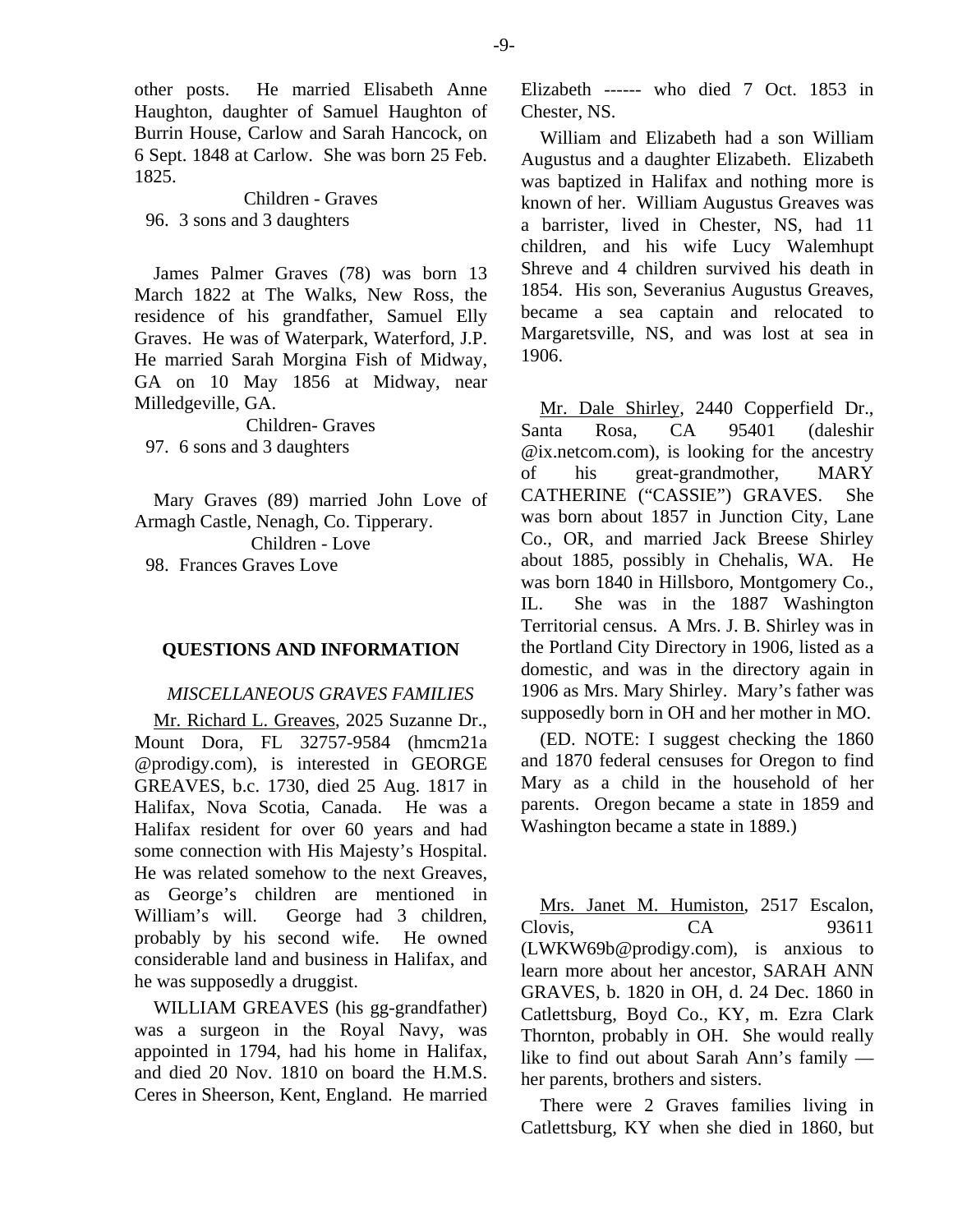other posts. He married Elisabeth Anne Haughton, daughter of Samuel Haughton of Burrin House, Carlow and Sarah Hancock, on 6 Sept. 1848 at Carlow. She was born 25 Feb. 1825.

Children - Graves 96. 3 sons and 3 daughters

James Palmer Graves (78) was born 13 March 1822 at The Walks, New Ross, the residence of his grandfather, Samuel Elly Graves. He was of Waterpark, Waterford, J.P. He married Sarah Morgina Fish of Midway, GA on 10 May 1856 at Midway, near Milledgeville, GA.

Children- Graves 97. 6 sons and 3 daughters

Mary Graves (89) married John Love of Armagh Castle, Nenagh, Co. Tipperary. Children - Love 98. Frances Graves Love

#### **QUESTIONS AND INFORMATION**

#### *MISCELLANEOUS GRAVES FAMILIES*

Mr. Richard L. Greaves, 2025 Suzanne Dr., Mount Dora, FL 32757-9584 (hmcm21a @prodigy.com), is interested in GEORGE GREAVES, b.c. 1730, died 25 Aug. 1817 in Halifax, Nova Scotia, Canada. He was a Halifax resident for over 60 years and had some connection with His Majesty's Hospital. He was related somehow to the next Greaves, as George's children are mentioned in William's will. George had 3 children, probably by his second wife. He owned considerable land and business in Halifax, and he was supposedly a druggist.

WILLIAM GREAVES (his gg-grandfather) was a surgeon in the Royal Navy, was appointed in 1794, had his home in Halifax, and died 20 Nov. 1810 on board the H.M.S. Ceres in Sheerson, Kent, England. He married Elizabeth ------ who died 7 Oct. 1853 in Chester, NS.

William and Elizabeth had a son William Augustus and a daughter Elizabeth. Elizabeth was baptized in Halifax and nothing more is known of her. William Augustus Greaves was a barrister, lived in Chester, NS, had 11 children, and his wife Lucy Walemhupt Shreve and 4 children survived his death in 1854. His son, Severanius Augustus Greaves, became a sea captain and relocated to Margaretsville, NS, and was lost at sea in 1906.

Mr. Dale Shirley, 2440 Copperfield Dr., Santa Rosa, CA 95401 (daleshir @ix.netcom.com), is looking for the ancestry of his great-grandmother, MARY CATHERINE ("CASSIE") GRAVES. She was born about 1857 in Junction City, Lane Co., OR, and married Jack Breese Shirley about 1885, possibly in Chehalis, WA. He was born 1840 in Hillsboro, Montgomery Co., IL. She was in the 1887 Washington Territorial census. A Mrs. J. B. Shirley was in the Portland City Directory in 1906, listed as a domestic, and was in the directory again in 1906 as Mrs. Mary Shirley. Mary's father was supposedly born in OH and her mother in MO.

(ED. NOTE: I suggest checking the 1860 and 1870 federal censuses for Oregon to find Mary as a child in the household of her parents. Oregon became a state in 1859 and Washington became a state in 1889.)

Mrs. Janet M. Humiston, 2517 Escalon, Clovis, CA 93611 (LWKW69b@prodigy.com), is anxious to learn more about her ancestor, SARAH ANN GRAVES, b. 1820 in OH, d. 24 Dec. 1860 in Catlettsburg, Boyd Co., KY, m. Ezra Clark Thornton, probably in OH. She would really like to find out about Sarah Ann's family her parents, brothers and sisters.

There were 2 Graves families living in Catlettsburg, KY when she died in 1860, but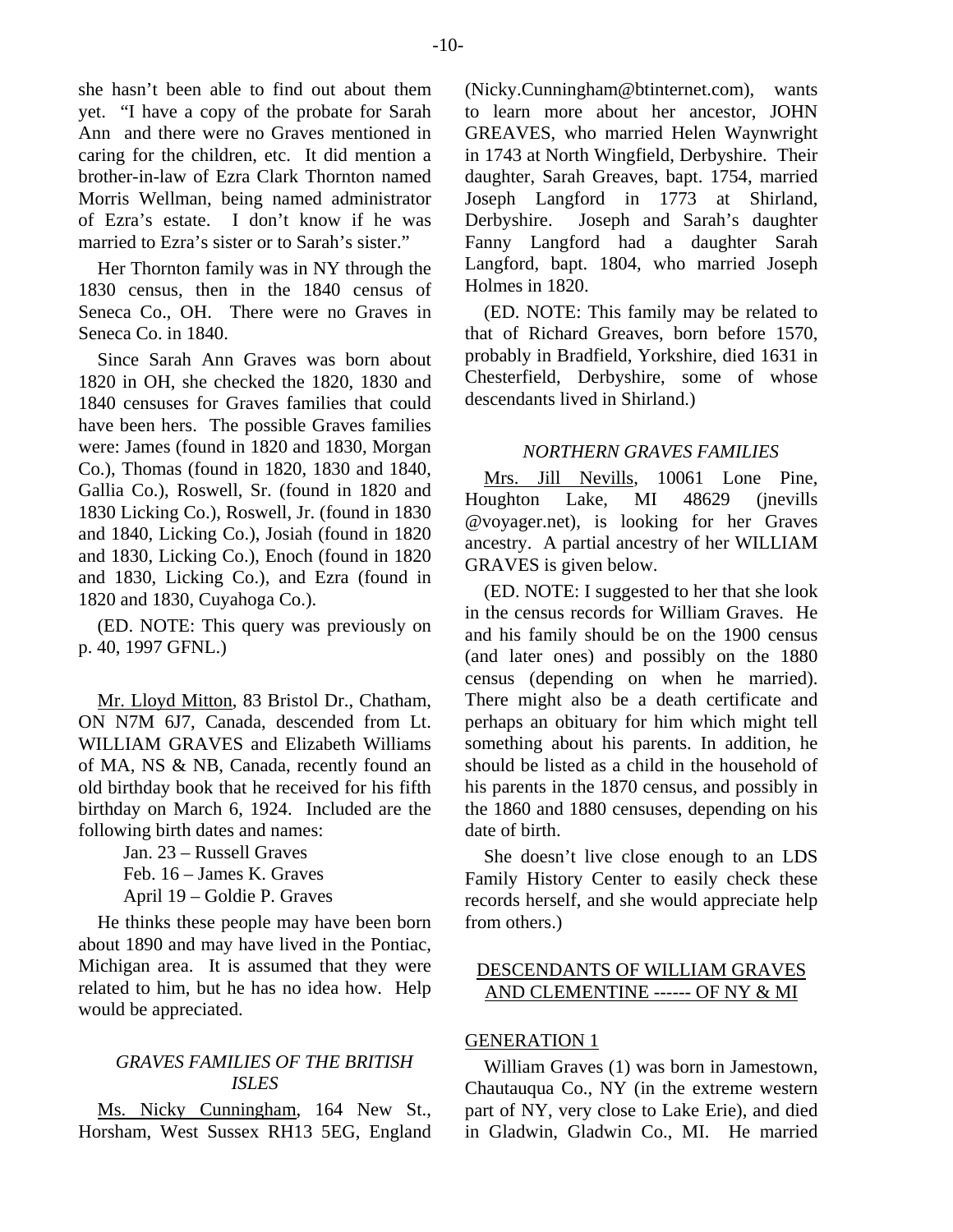-10-

she hasn't been able to find out about them yet. "I have a copy of the probate for Sarah Ann and there were no Graves mentioned in caring for the children, etc. It did mention a brother-in-law of Ezra Clark Thornton named Morris Wellman, being named administrator of Ezra's estate. I don't know if he was married to Ezra's sister or to Sarah's sister."

Her Thornton family was in NY through the 1830 census, then in the 1840 census of Seneca Co., OH. There were no Graves in Seneca Co. in 1840.

Since Sarah Ann Graves was born about 1820 in OH, she checked the 1820, 1830 and 1840 censuses for Graves families that could have been hers. The possible Graves families were: James (found in 1820 and 1830, Morgan Co.), Thomas (found in 1820, 1830 and 1840, Gallia Co.), Roswell, Sr. (found in 1820 and 1830 Licking Co.), Roswell, Jr. (found in 1830 and 1840, Licking Co.), Josiah (found in 1820 and 1830, Licking Co.), Enoch (found in 1820 and 1830, Licking Co.), and Ezra (found in 1820 and 1830, Cuyahoga Co.).

(ED. NOTE: This query was previously on p. 40, 1997 GFNL.)

Mr. Lloyd Mitton, 83 Bristol Dr., Chatham, ON N7M 6J7, Canada, descended from Lt. WILLIAM GRAVES and Elizabeth Williams of MA, NS & NB, Canada, recently found an old birthday book that he received for his fifth birthday on March 6, 1924. Included are the following birth dates and names:

Jan. 23 – Russell Graves Feb. 16 – James K. Graves

April 19 – Goldie P. Graves

He thinks these people may have been born about 1890 and may have lived in the Pontiac, Michigan area. It is assumed that they were related to him, but he has no idea how. Help would be appreciated.

# *GRAVES FAMILIES OF THE BRITISH ISLES*

Ms. Nicky Cunningham, 164 New St., Horsham, West Sussex RH13 5EG, England

(Nicky.Cunningham@btinternet.com), wants to learn more about her ancestor, JOHN GREAVES, who married Helen Waynwright in 1743 at North Wingfield, Derbyshire. Their daughter, Sarah Greaves, bapt. 1754, married Joseph Langford in 1773 at Shirland, Derbyshire. Joseph and Sarah's daughter Fanny Langford had a daughter Sarah Langford, bapt. 1804, who married Joseph Holmes in 1820.

(ED. NOTE: This family may be related to that of Richard Greaves, born before 1570, probably in Bradfield, Yorkshire, died 1631 in Chesterfield, Derbyshire, some of whose descendants lived in Shirland.)

# *NORTHERN GRAVES FAMILIES*

Mrs. Jill Nevills, 10061 Lone Pine, Houghton Lake, MI 48629 (jnevills @voyager.net), is looking for her Graves ancestry. A partial ancestry of her WILLIAM GRAVES is given below.

(ED. NOTE: I suggested to her that she look in the census records for William Graves. He and his family should be on the 1900 census (and later ones) and possibly on the 1880 census (depending on when he married). There might also be a death certificate and perhaps an obituary for him which might tell something about his parents. In addition, he should be listed as a child in the household of his parents in the 1870 census, and possibly in the 1860 and 1880 censuses, depending on his date of birth.

She doesn't live close enough to an LDS Family History Center to easily check these records herself, and she would appreciate help from others.)

# DESCENDANTS OF WILLIAM GRAVES AND CLEMENTINE ------ OF NY & MI

# GENERATION 1

William Graves (1) was born in Jamestown, Chautauqua Co., NY (in the extreme western part of NY, very close to Lake Erie), and died in Gladwin, Gladwin Co., MI. He married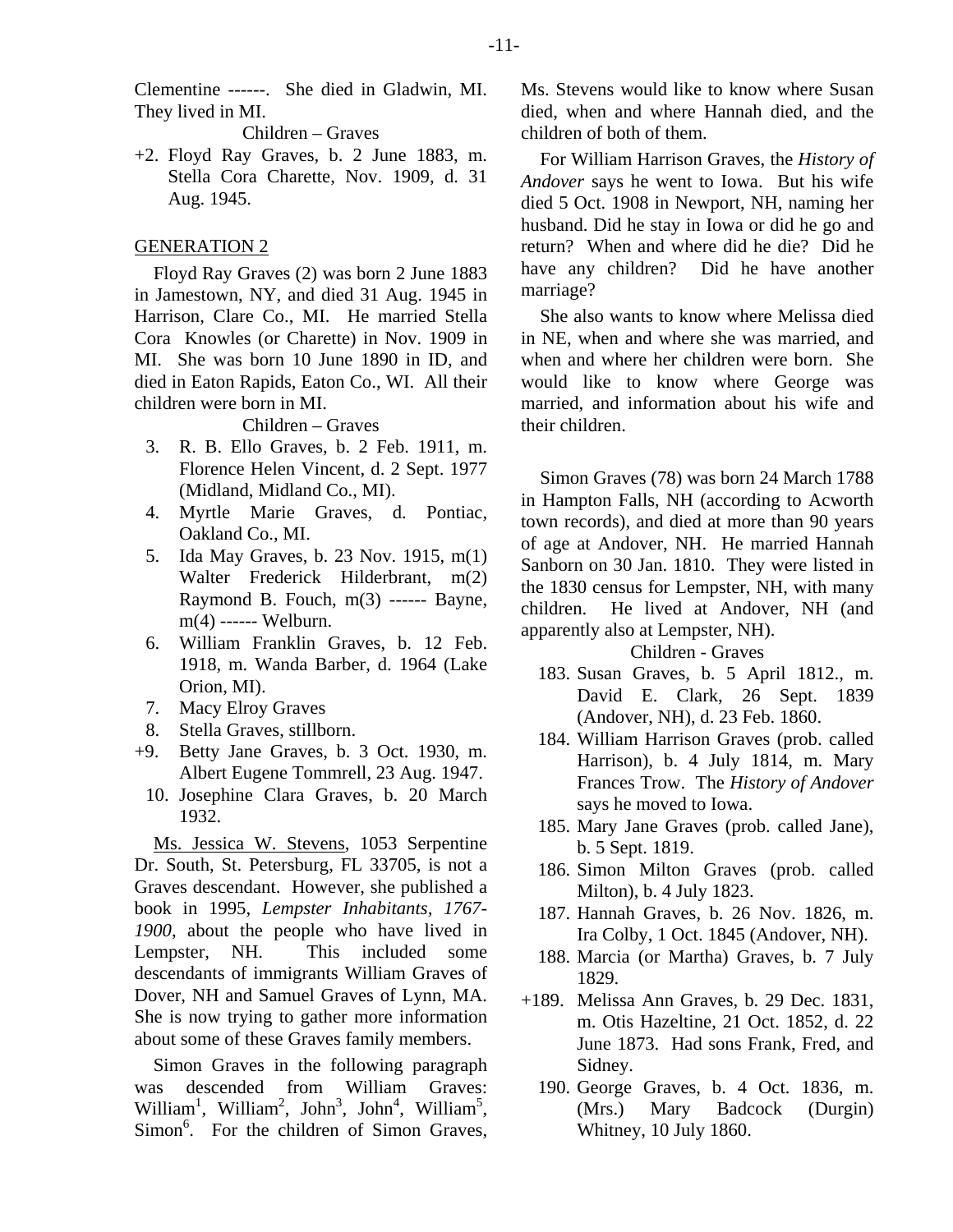Clementine ------. She died in Gladwin, MI. They lived in MI.

Children – Graves

+2. Floyd Ray Graves, b. 2 June 1883, m. Stella Cora Charette, Nov. 1909, d. 31 Aug. 1945.

#### GENERATION 2

Floyd Ray Graves (2) was born 2 June 1883 in Jamestown, NY, and died 31 Aug. 1945 in Harrison, Clare Co., MI. He married Stella Cora Knowles (or Charette) in Nov. 1909 in MI. She was born 10 June 1890 in ID, and died in Eaton Rapids, Eaton Co., WI. All their children were born in MI.

Children – Graves

- 3. R. B. Ello Graves, b. 2 Feb. 1911, m. Florence Helen Vincent, d. 2 Sept. 1977 (Midland, Midland Co., MI).
- 4. Myrtle Marie Graves, d. Pontiac, Oakland Co., MI.
- 5. Ida May Graves, b. 23 Nov. 1915, m(1) Walter Frederick Hilderbrant, m(2) Raymond B. Fouch,  $m(3)$  ------ Bayne, m(4) ------ Welburn.
- 6. William Franklin Graves, b. 12 Feb. 1918, m. Wanda Barber, d. 1964 (Lake Orion, MI).
- 7. Macy Elroy Graves
- 8. Stella Graves, stillborn.
- +9. Betty Jane Graves, b. 3 Oct. 1930, m. Albert Eugene Tommrell, 23 Aug. 1947.
	- 10. Josephine Clara Graves, b. 20 March 1932.

Ms. Jessica W. Stevens, 1053 Serpentine Dr. South, St. Petersburg, FL 33705, is not a Graves descendant. However, she published a book in 1995, *Lempster Inhabitants, 1767- 1900*, about the people who have lived in Lempster, NH. This included some descendants of immigrants William Graves of Dover, NH and Samuel Graves of Lynn, MA. She is now trying to gather more information about some of these Graves family members.

Simon Graves in the following paragraph was descended from William Graves: William<sup>1</sup>, William<sup>2</sup>, John<sup>3</sup>, John<sup>4</sup>, William<sup>5</sup>, Simon<sup>6</sup>. For the children of Simon Graves, Ms. Stevens would like to know where Susan died, when and where Hannah died, and the children of both of them.

For William Harrison Graves, the *History of Andover* says he went to Iowa. But his wife died 5 Oct. 1908 in Newport, NH, naming her husband. Did he stay in Iowa or did he go and return? When and where did he die? Did he have any children? Did he have another marriage?

She also wants to know where Melissa died in NE, when and where she was married, and when and where her children were born. She would like to know where George was married, and information about his wife and their children.

Simon Graves (78) was born 24 March 1788 in Hampton Falls, NH (according to Acworth town records), and died at more than 90 years of age at Andover, NH. He married Hannah Sanborn on 30 Jan. 1810. They were listed in the 1830 census for Lempster, NH, with many children. He lived at Andover, NH (and apparently also at Lempster, NH).

Children - Graves

- 183. Susan Graves, b. 5 April 1812., m. David E. Clark, 26 Sept. 1839 (Andover, NH), d. 23 Feb. 1860.
- 184. William Harrison Graves (prob. called Harrison), b. 4 July 1814, m. Mary Frances Trow. The *History of Andover* says he moved to Iowa.
- 185. Mary Jane Graves (prob. called Jane), b. 5 Sept. 1819.
- 186. Simon Milton Graves (prob. called Milton), b. 4 July 1823.
- 187. Hannah Graves, b. 26 Nov. 1826, m. Ira Colby, 1 Oct. 1845 (Andover, NH).
- 188. Marcia (or Martha) Graves, b. 7 July 1829.
- +189. Melissa Ann Graves, b. 29 Dec. 1831, m. Otis Hazeltine, 21 Oct. 1852, d. 22 June 1873. Had sons Frank, Fred, and Sidney.
	- 190. George Graves, b. 4 Oct. 1836, m. (Mrs.) Mary Badcock (Durgin) Whitney, 10 July 1860.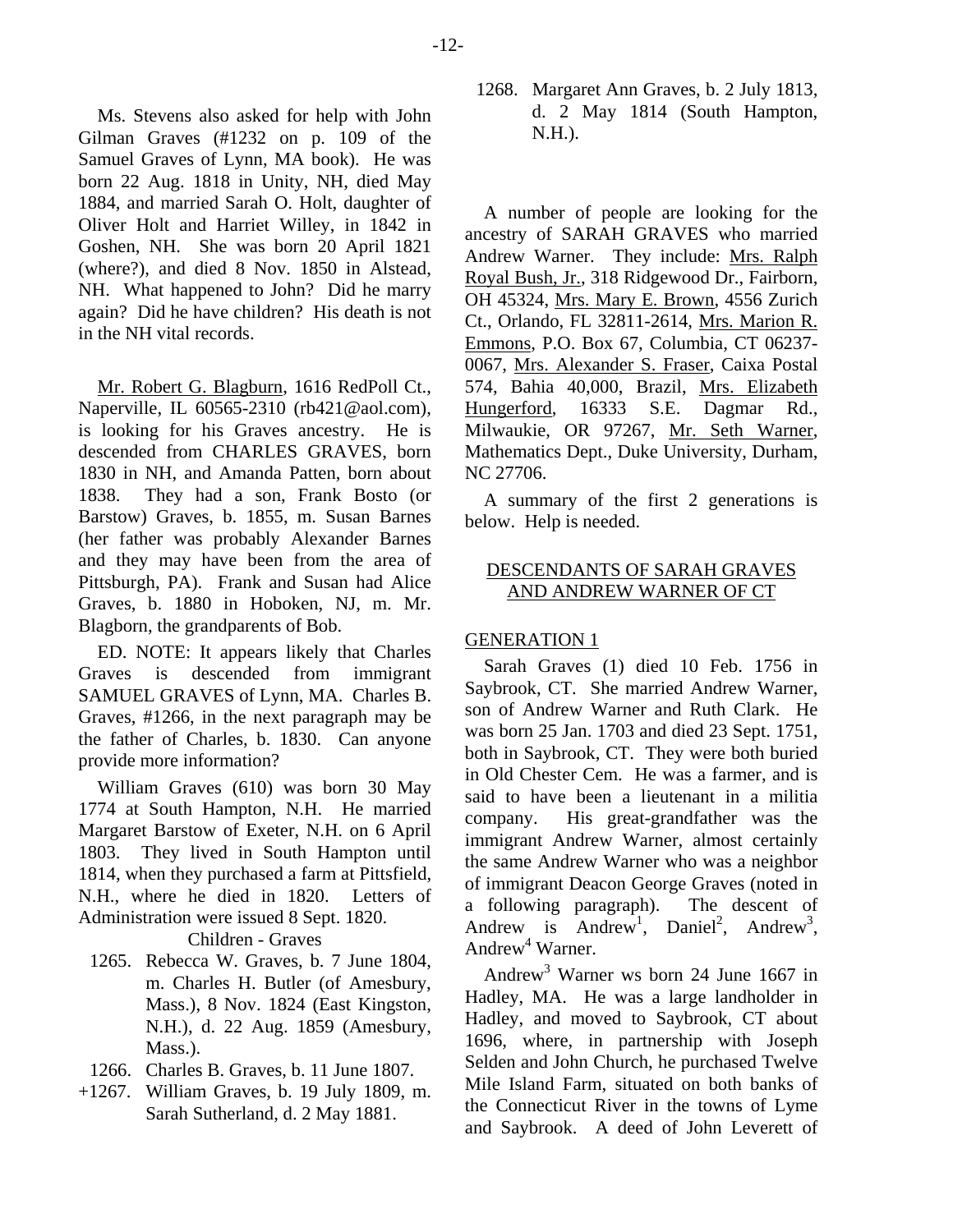Ms. Stevens also asked for help with John Gilman Graves (#1232 on p. 109 of the Samuel Graves of Lynn, MA book). He was born 22 Aug. 1818 in Unity, NH, died May 1884, and married Sarah O. Holt, daughter of Oliver Holt and Harriet Willey, in 1842 in Goshen, NH. She was born 20 April 1821 (where?), and died 8 Nov. 1850 in Alstead, NH. What happened to John? Did he marry again? Did he have children? His death is not in the NH vital records.

Mr. Robert G. Blagburn, 1616 RedPoll Ct., Naperville, IL 60565-2310 (rb421@aol.com), is looking for his Graves ancestry. He is descended from CHARLES GRAVES, born 1830 in NH, and Amanda Patten, born about 1838. They had a son, Frank Bosto (or Barstow) Graves, b. 1855, m. Susan Barnes (her father was probably Alexander Barnes and they may have been from the area of Pittsburgh, PA). Frank and Susan had Alice Graves, b. 1880 in Hoboken, NJ, m. Mr. Blagborn, the grandparents of Bob.

ED. NOTE: It appears likely that Charles Graves is descended from immigrant SAMUEL GRAVES of Lynn, MA. Charles B. Graves, #1266, in the next paragraph may be the father of Charles, b. 1830. Can anyone provide more information?

William Graves (610) was born 30 May 1774 at South Hampton, N.H. He married Margaret Barstow of Exeter, N.H. on 6 April 1803. They lived in South Hampton until 1814, when they purchased a farm at Pittsfield, N.H., where he died in 1820. Letters of Administration were issued 8 Sept. 1820.

#### Children - Graves

- 1265. Rebecca W. Graves, b. 7 June 1804, m. Charles H. Butler (of Amesbury, Mass.), 8 Nov. 1824 (East Kingston, N.H.), d. 22 Aug. 1859 (Amesbury, Mass.).
- 1266. Charles B. Graves, b. 11 June 1807.
- +1267. William Graves, b. 19 July 1809, m. Sarah Sutherland, d. 2 May 1881.

 1268. Margaret Ann Graves, b. 2 July 1813, d. 2 May 1814 (South Hampton, N.H.).

A number of people are looking for the ancestry of SARAH GRAVES who married Andrew Warner. They include: Mrs. Ralph Royal Bush, Jr., 318 Ridgewood Dr., Fairborn, OH 45324, Mrs. Mary E. Brown, 4556 Zurich Ct., Orlando, FL 32811-2614, Mrs. Marion R. Emmons, P.O. Box 67, Columbia, CT 06237- 0067, Mrs. Alexander S. Fraser, Caixa Postal 574, Bahia 40,000, Brazil, Mrs. Elizabeth Hungerford, 16333 S.E. Dagmar Rd., Milwaukie, OR 97267, Mr. Seth Warner, Mathematics Dept., Duke University, Durham, NC 27706.

A summary of the first 2 generations is below. Help is needed.

# DESCENDANTS OF SARAH GRAVES AND ANDREW WARNER OF CT

# GENERATION 1

Sarah Graves (1) died 10 Feb. 1756 in Saybrook, CT. She married Andrew Warner, son of Andrew Warner and Ruth Clark. He was born 25 Jan. 1703 and died 23 Sept. 1751, both in Saybrook, CT. They were both buried in Old Chester Cem. He was a farmer, and is said to have been a lieutenant in a militia company. His great-grandfather was the immigrant Andrew Warner, almost certainly the same Andrew Warner who was a neighbor of immigrant Deacon George Graves (noted in a following paragraph). The descent of Andrew is Andrew<sup>1</sup>, Daniel<sup>2</sup>, Andrew<sup>3</sup>, Andrew<sup>4</sup> Warner.

Andrew3 Warner ws born 24 June 1667 in Hadley, MA. He was a large landholder in Hadley, and moved to Saybrook, CT about 1696, where, in partnership with Joseph Selden and John Church, he purchased Twelve Mile Island Farm, situated on both banks of the Connecticut River in the towns of Lyme and Saybrook. A deed of John Leverett of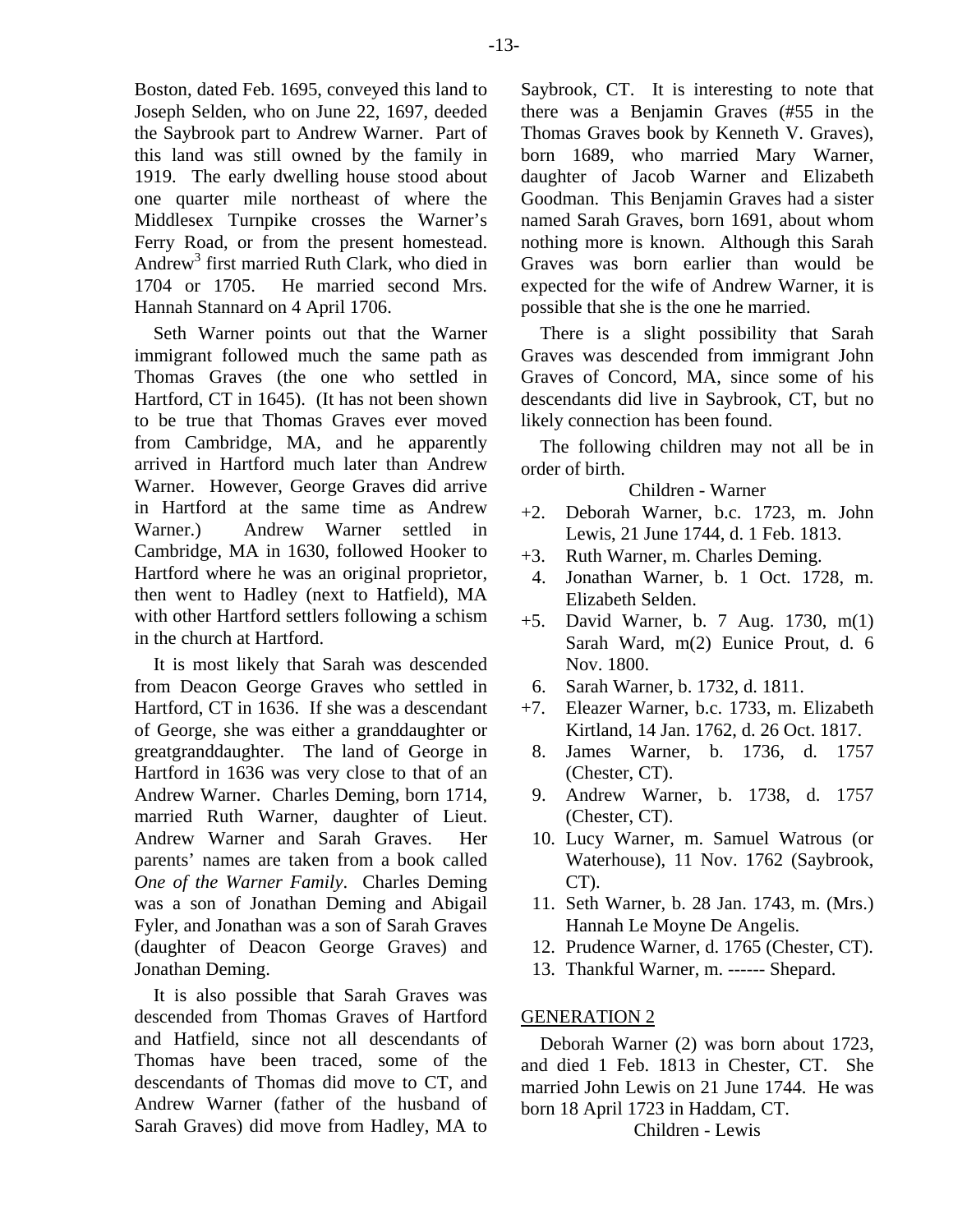Boston, dated Feb. 1695, conveyed this land to Joseph Selden, who on June 22, 1697, deeded the Saybrook part to Andrew Warner. Part of this land was still owned by the family in 1919. The early dwelling house stood about one quarter mile northeast of where the Middlesex Turnpike crosses the Warner's Ferry Road, or from the present homestead. Andrew3 first married Ruth Clark, who died in 1704 or 1705. He married second Mrs. Hannah Stannard on 4 April 1706.

Seth Warner points out that the Warner immigrant followed much the same path as Thomas Graves (the one who settled in Hartford, CT in 1645). (It has not been shown to be true that Thomas Graves ever moved from Cambridge, MA, and he apparently arrived in Hartford much later than Andrew Warner. However, George Graves did arrive in Hartford at the same time as Andrew Warner.) Andrew Warner settled in Cambridge, MA in 1630, followed Hooker to Hartford where he was an original proprietor, then went to Hadley (next to Hatfield), MA with other Hartford settlers following a schism in the church at Hartford.

It is most likely that Sarah was descended from Deacon George Graves who settled in Hartford, CT in 1636. If she was a descendant of George, she was either a granddaughter or greatgranddaughter. The land of George in Hartford in 1636 was very close to that of an Andrew Warner. Charles Deming, born 1714, married Ruth Warner, daughter of Lieut. Andrew Warner and Sarah Graves. Her parents' names are taken from a book called *One of the Warner Family*. Charles Deming was a son of Jonathan Deming and Abigail Fyler, and Jonathan was a son of Sarah Graves (daughter of Deacon George Graves) and Jonathan Deming.

It is also possible that Sarah Graves was descended from Thomas Graves of Hartford and Hatfield, since not all descendants of Thomas have been traced, some of the descendants of Thomas did move to CT, and Andrew Warner (father of the husband of Sarah Graves) did move from Hadley, MA to Saybrook, CT. It is interesting to note that there was a Benjamin Graves (#55 in the Thomas Graves book by Kenneth V. Graves), born 1689, who married Mary Warner, daughter of Jacob Warner and Elizabeth Goodman. This Benjamin Graves had a sister named Sarah Graves, born 1691, about whom nothing more is known. Although this Sarah Graves was born earlier than would be expected for the wife of Andrew Warner, it is possible that she is the one he married.

There is a slight possibility that Sarah Graves was descended from immigrant John Graves of Concord, MA, since some of his descendants did live in Saybrook, CT, but no likely connection has been found.

The following children may not all be in order of birth.

Children - Warner

- +2. Deborah Warner, b.c. 1723, m. John Lewis, 21 June 1744, d. 1 Feb. 1813.
- +3. Ruth Warner, m. Charles Deming.
- 4. Jonathan Warner, b. 1 Oct. 1728, m. Elizabeth Selden.
- +5. David Warner, b. 7 Aug. 1730, m(1) Sarah Ward, m(2) Eunice Prout, d. 6 Nov. 1800.
- 6. Sarah Warner, b. 1732, d. 1811.
- +7. Eleazer Warner, b.c. 1733, m. Elizabeth Kirtland, 14 Jan. 1762, d. 26 Oct. 1817.
- 8. James Warner, b. 1736, d. 1757 (Chester, CT).
- 9. Andrew Warner, b. 1738, d. 1757 (Chester, CT).
- 10. Lucy Warner, m. Samuel Watrous (or Waterhouse), 11 Nov. 1762 (Saybrook, CT).
- 11. Seth Warner, b. 28 Jan. 1743, m. (Mrs.) Hannah Le Moyne De Angelis.
- 12. Prudence Warner, d. 1765 (Chester, CT).
- 13. Thankful Warner, m. ------ Shepard.

#### GENERATION 2

Deborah Warner (2) was born about 1723, and died 1 Feb. 1813 in Chester, CT. She married John Lewis on 21 June 1744. He was born 18 April 1723 in Haddam, CT.

Children - Lewis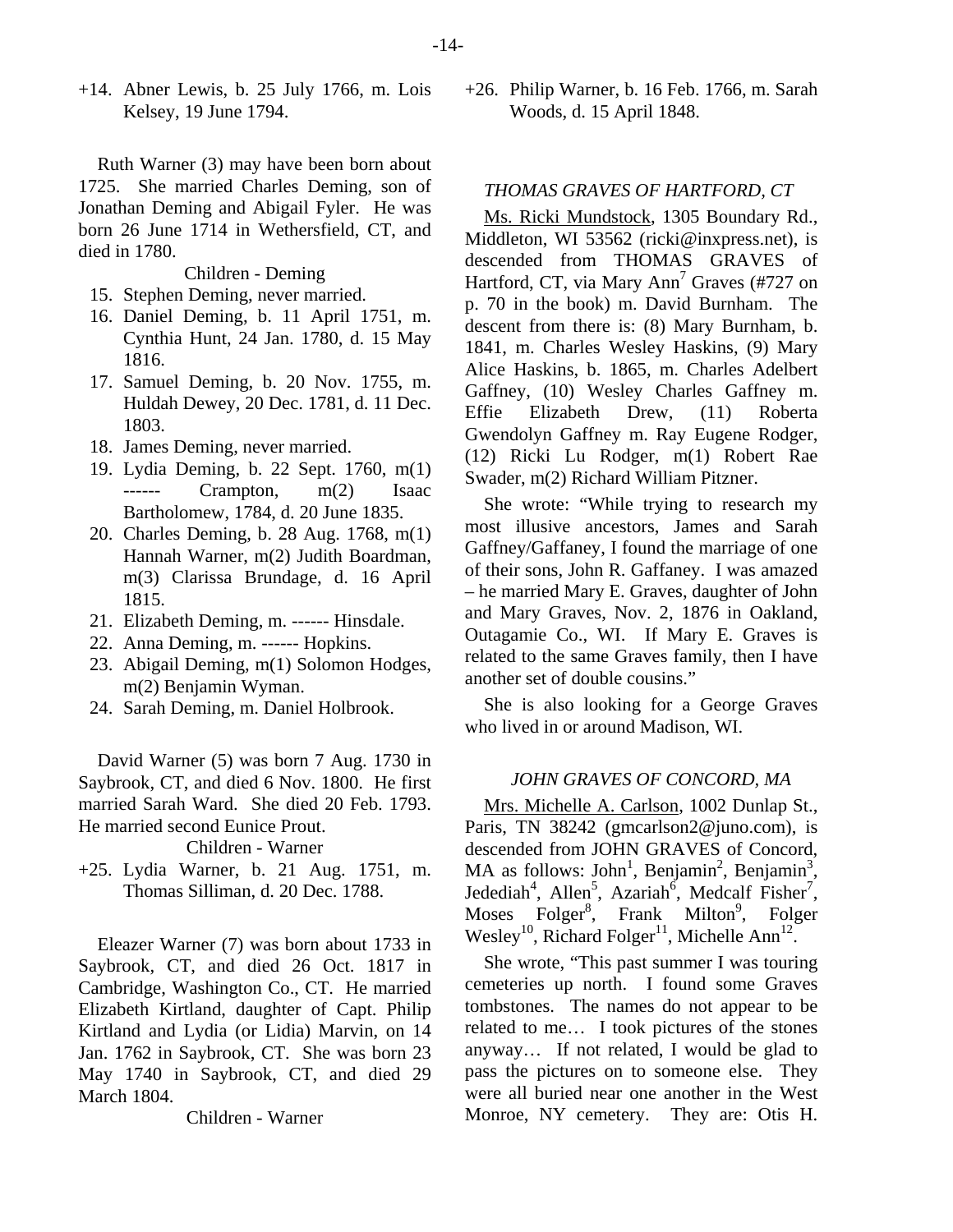$+14$ . Abner Lewis, b. 25 July 1766, m. Lois Kelsey, 19 June 1794.

Ruth Warner (3) may have been born about 1725. She married Charles Deming, son of Jonathan Deming and Abigail Fyler. He was born 26 June 1714 in Wethersfield, CT, and died in 1780.

Children - Deming

- 15. Stephen Deming, never married.
- 16. Daniel Deming, b. 11 April 1751, m. Cynthia Hunt, 24 Jan. 1780, d. 15 May 1816.
- 17. Samuel Deming, b. 20 Nov. 1755, m. Huldah Dewey, 20 Dec. 1781, d. 11 Dec. 1803.
- 18. James Deming, never married.
- 19. Lydia Deming, b. 22 Sept. 1760, m(1) ------ Crampton, m(2) Isaac Bartholomew, 1784, d. 20 June 1835.
- 20. Charles Deming, b. 28 Aug. 1768, m(1) Hannah Warner, m(2) Judith Boardman, m(3) Clarissa Brundage, d. 16 April 1815.
- 21. Elizabeth Deming, m. ------ Hinsdale.
- 22. Anna Deming, m. ------ Hopkins.
- 23. Abigail Deming, m(1) Solomon Hodges, m(2) Benjamin Wyman.
- 24. Sarah Deming, m. Daniel Holbrook.

David Warner (5) was born 7 Aug. 1730 in Saybrook, CT, and died 6 Nov. 1800. He first married Sarah Ward. She died 20 Feb. 1793. He married second Eunice Prout.

Children - Warner

+25. Lydia Warner, b. 21 Aug. 1751, m. Thomas Silliman, d. 20 Dec. 1788.

Eleazer Warner (7) was born about 1733 in Saybrook, CT, and died 26 Oct. 1817 in Cambridge, Washington Co., CT. He married Elizabeth Kirtland, daughter of Capt. Philip Kirtland and Lydia (or Lidia) Marvin, on 14 Jan. 1762 in Saybrook, CT. She was born 23 May 1740 in Saybrook, CT, and died 29 March 1804.

Children - Warner

+26. Philip Warner, b. 16 Feb. 1766, m. Sarah Woods, d. 15 April 1848.

# *THOMAS GRAVES OF HARTFORD, CT*

Ms. Ricki Mundstock, 1305 Boundary Rd., Middleton, WI 53562 (ricki@inxpress.net), is descended from THOMAS GRAVES of Hartford, CT, via Mary Ann<sup>7</sup> Graves (#727 on p. 70 in the book) m. David Burnham. The descent from there is: (8) Mary Burnham, b. 1841, m. Charles Wesley Haskins, (9) Mary Alice Haskins, b. 1865, m. Charles Adelbert Gaffney, (10) Wesley Charles Gaffney m. Effie Elizabeth Drew, (11) Roberta Gwendolyn Gaffney m. Ray Eugene Rodger, (12) Ricki Lu Rodger, m(1) Robert Rae Swader, m(2) Richard William Pitzner.

She wrote: "While trying to research my most illusive ancestors, James and Sarah Gaffney/Gaffaney, I found the marriage of one of their sons, John R. Gaffaney. I was amazed – he married Mary E. Graves, daughter of John and Mary Graves, Nov. 2, 1876 in Oakland, Outagamie Co., WI. If Mary E. Graves is related to the same Graves family, then I have another set of double cousins."

She is also looking for a George Graves who lived in or around Madison, WI.

#### *JOHN GRAVES OF CONCORD, MA*

Mrs. Michelle A. Carlson, 1002 Dunlap St., Paris, TN 38242 (gmcarlson2@juno.com), is descended from JOHN GRAVES of Concord, MA as follows: John<sup>1</sup>, Benjamin<sup>2</sup>, Benjamin<sup>3</sup>, Jedediah<sup>4</sup>, Allen<sup>5</sup>, Azariah<sup>6</sup>, Medcalf Fisher<sup>7</sup>, Moses Folger<sup>8</sup>, Frank Milton<sup>9</sup>, Folger Wesley<sup>10</sup>, Richard Folger<sup>11</sup>, Michelle Ann<sup>12</sup>.

She wrote, "This past summer I was touring cemeteries up north. I found some Graves tombstones. The names do not appear to be related to me… I took pictures of the stones anyway… If not related, I would be glad to pass the pictures on to someone else. They were all buried near one another in the West Monroe, NY cemetery. They are: Otis H.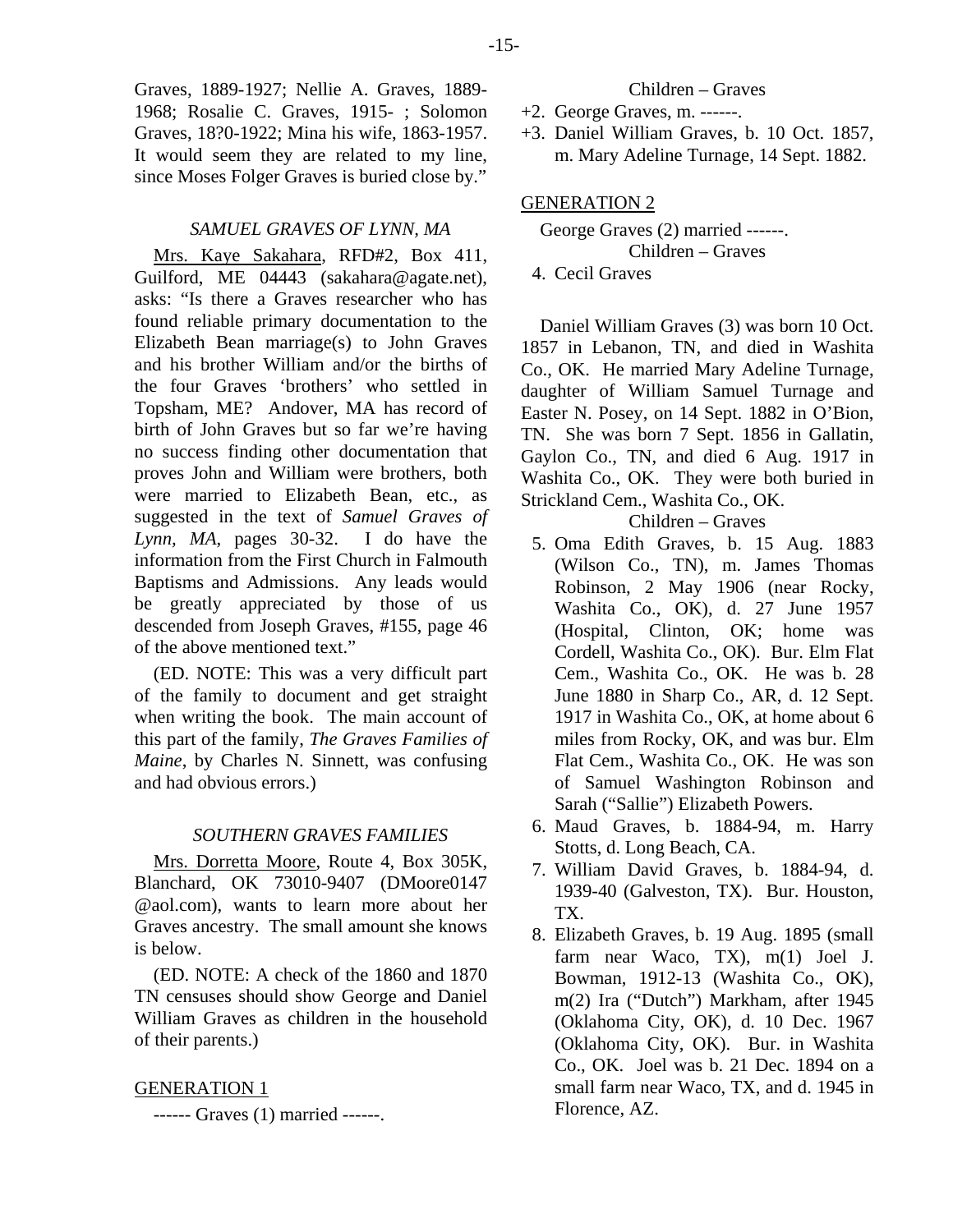Graves, 1889-1927; Nellie A. Graves, 1889- 1968; Rosalie C. Graves, 1915- ; Solomon Graves, 18?0-1922; Mina his wife, 1863-1957. It would seem they are related to my line, since Moses Folger Graves is buried close by."

#### *SAMUEL GRAVES OF LYNN, MA*

Mrs. Kaye Sakahara, RFD#2, Box 411, Guilford, ME 04443 (sakahara@agate.net), asks: "Is there a Graves researcher who has found reliable primary documentation to the Elizabeth Bean marriage(s) to John Graves and his brother William and/or the births of the four Graves 'brothers' who settled in Topsham, ME? Andover, MA has record of birth of John Graves but so far we're having no success finding other documentation that proves John and William were brothers, both were married to Elizabeth Bean, etc., as suggested in the text of *Samuel Graves of Lynn, MA*, pages 30-32. I do have the information from the First Church in Falmouth Baptisms and Admissions. Any leads would be greatly appreciated by those of us descended from Joseph Graves, #155, page 46 of the above mentioned text."

(ED. NOTE: This was a very difficult part of the family to document and get straight when writing the book. The main account of this part of the family, *The Graves Families of Maine*, by Charles N. Sinnett, was confusing and had obvious errors.)

#### *SOUTHERN GRAVES FAMILIES*

Mrs. Dorretta Moore, Route 4, Box 305K, Blanchard, OK 73010-9407 (DMoore0147 @aol.com), wants to learn more about her Graves ancestry. The small amount she knows is below.

(ED. NOTE: A check of the 1860 and 1870 TN censuses should show George and Daniel William Graves as children in the household of their parents.)

#### GENERATION 1

------ Graves (1) married ------.

#### Children – Graves

- +2. George Graves, m. ------.
- +3. Daniel William Graves, b. 10 Oct. 1857, m. Mary Adeline Turnage, 14 Sept. 1882.

#### GENERATION 2

George Graves (2) married ------. Children – Graves 4. Cecil Graves

Daniel William Graves (3) was born 10 Oct. 1857 in Lebanon, TN, and died in Washita Co., OK. He married Mary Adeline Turnage, daughter of William Samuel Turnage and Easter N. Posey, on 14 Sept. 1882 in O'Bion, TN. She was born 7 Sept. 1856 in Gallatin, Gaylon Co., TN, and died 6 Aug. 1917 in Washita Co., OK. They were both buried in Strickland Cem., Washita Co., OK.

Children – Graves

- 5. Oma Edith Graves, b. 15 Aug. 1883 (Wilson Co., TN), m. James Thomas Robinson, 2 May 1906 (near Rocky, Washita Co., OK), d. 27 June 1957 (Hospital, Clinton, OK; home was Cordell, Washita Co., OK). Bur. Elm Flat Cem., Washita Co., OK. He was b. 28 June 1880 in Sharp Co., AR, d. 12 Sept. 1917 in Washita Co., OK, at home about 6 miles from Rocky, OK, and was bur. Elm Flat Cem., Washita Co., OK. He was son of Samuel Washington Robinson and Sarah ("Sallie") Elizabeth Powers.
- 6. Maud Graves, b. 1884-94, m. Harry Stotts, d. Long Beach, CA.
- 7. William David Graves, b. 1884-94, d. 1939-40 (Galveston, TX). Bur. Houston, TX.
- 8. Elizabeth Graves, b. 19 Aug. 1895 (small farm near Waco, TX), m(1) Joel J. Bowman, 1912-13 (Washita Co., OK), m(2) Ira ("Dutch") Markham, after 1945 (Oklahoma City, OK), d. 10 Dec. 1967 (Oklahoma City, OK). Bur. in Washita Co., OK. Joel was b. 21 Dec. 1894 on a small farm near Waco, TX, and d. 1945 in Florence, AZ.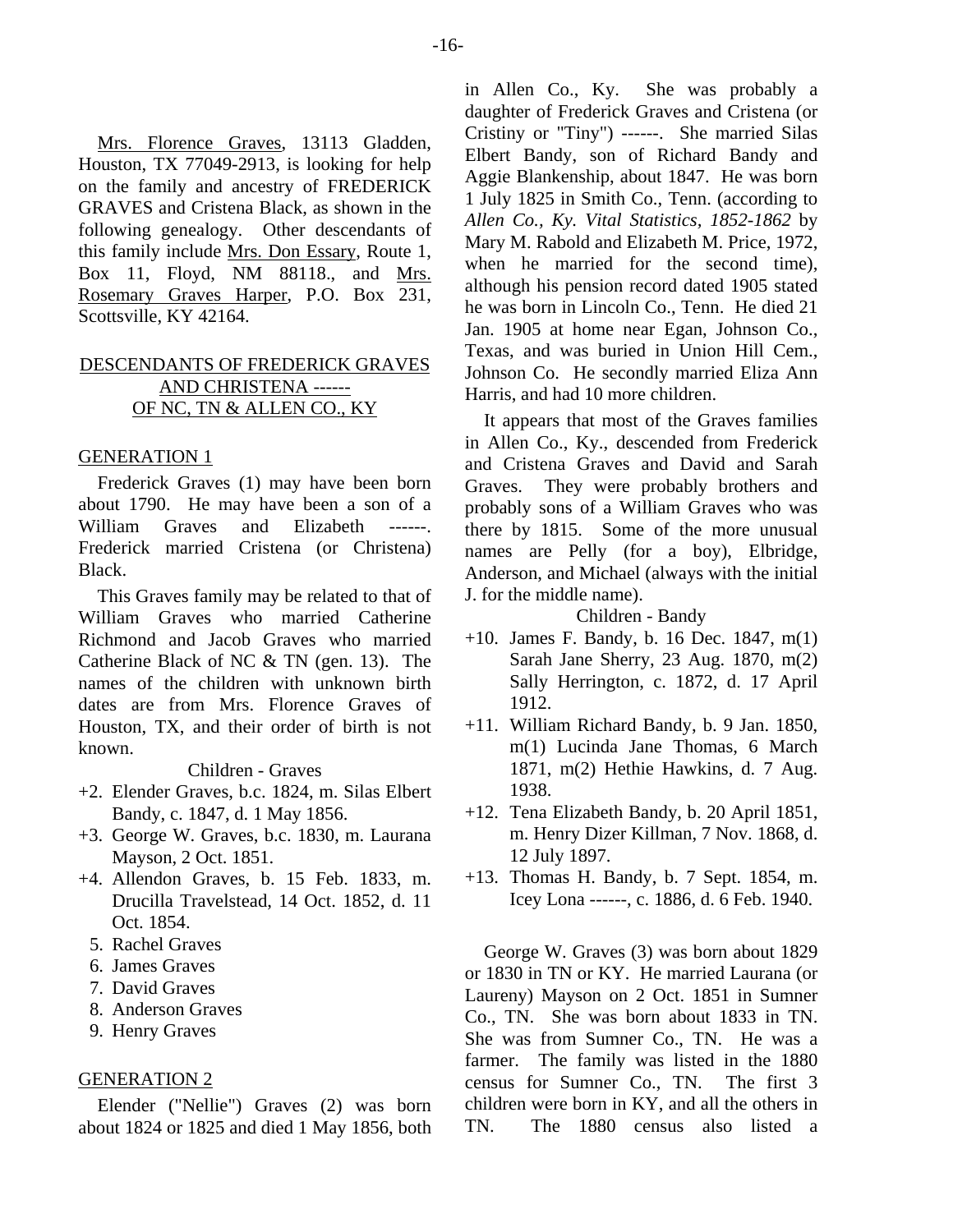Mrs. Florence Graves, 13113 Gladden, Houston, TX 77049-2913, is looking for help on the family and ancestry of FREDERICK GRAVES and Cristena Black, as shown in the following genealogy. Other descendants of this family include Mrs. Don Essary, Route 1, Box 11, Floyd, NM 88118., and Mrs. Rosemary Graves Harper, P.O. Box 231, Scottsville, KY 42164.

# DESCENDANTS OF FREDERICK GRAVES AND CHRISTENA ------ OF NC, TN & ALLEN CO., KY

#### GENERATION 1

Frederick Graves (1) may have been born about 1790. He may have been a son of a William Graves and Elizabeth ------Frederick married Cristena (or Christena) Black.

This Graves family may be related to that of William Graves who married Catherine Richmond and Jacob Graves who married Catherine Black of NC & TN (gen. 13). The names of the children with unknown birth dates are from Mrs. Florence Graves of Houston, TX, and their order of birth is not known.

#### Children - Graves

- +2. Elender Graves, b.c. 1824, m. Silas Elbert Bandy, c. 1847, d. 1 May 1856.
- +3. George W. Graves, b.c. 1830, m. Laurana Mayson, 2 Oct. 1851.
- +4. Allendon Graves, b. 15 Feb. 1833, m. Drucilla Travelstead, 14 Oct. 1852, d. 11 Oct. 1854.
- 5. Rachel Graves
- 6. James Graves
- 7. David Graves
- 8. Anderson Graves
- 9. Henry Graves

### GENERATION 2

Elender ("Nellie") Graves (2) was born about 1824 or 1825 and died 1 May 1856, both

in Allen Co., Ky. She was probably a daughter of Frederick Graves and Cristena (or Cristiny or "Tiny") ------. She married Silas Elbert Bandy, son of Richard Bandy and Aggie Blankenship, about 1847. He was born 1 July 1825 in Smith Co., Tenn. (according to *Allen Co., Ky. Vital Statistics, 1852-1862* by Mary M. Rabold and Elizabeth M. Price, 1972, when he married for the second time), although his pension record dated 1905 stated he was born in Lincoln Co., Tenn. He died 21 Jan. 1905 at home near Egan, Johnson Co., Texas, and was buried in Union Hill Cem., Johnson Co. He secondly married Eliza Ann Harris, and had 10 more children.

It appears that most of the Graves families in Allen Co., Ky., descended from Frederick and Cristena Graves and David and Sarah Graves. They were probably brothers and probably sons of a William Graves who was there by 1815. Some of the more unusual names are Pelly (for a boy), Elbridge, Anderson, and Michael (always with the initial J. for the middle name).

### Children - Bandy

- +10. James F. Bandy, b. 16 Dec. 1847, m(1) Sarah Jane Sherry, 23 Aug. 1870, m(2) Sally Herrington, c. 1872, d. 17 April 1912.
- +11. William Richard Bandy, b. 9 Jan. 1850, m(1) Lucinda Jane Thomas, 6 March 1871, m(2) Hethie Hawkins, d. 7 Aug. 1938.
- +12. Tena Elizabeth Bandy, b. 20 April 1851, m. Henry Dizer Killman, 7 Nov. 1868, d. 12 July 1897.
- +13. Thomas H. Bandy, b. 7 Sept. 1854, m. Icey Lona ------, c. 1886, d. 6 Feb. 1940.

George W. Graves (3) was born about 1829 or 1830 in TN or KY. He married Laurana (or Laureny) Mayson on 2 Oct. 1851 in Sumner Co., TN. She was born about 1833 in TN. She was from Sumner Co., TN. He was a farmer. The family was listed in the 1880 census for Sumner Co., TN. The first 3 children were born in KY, and all the others in TN. The 1880 census also listed a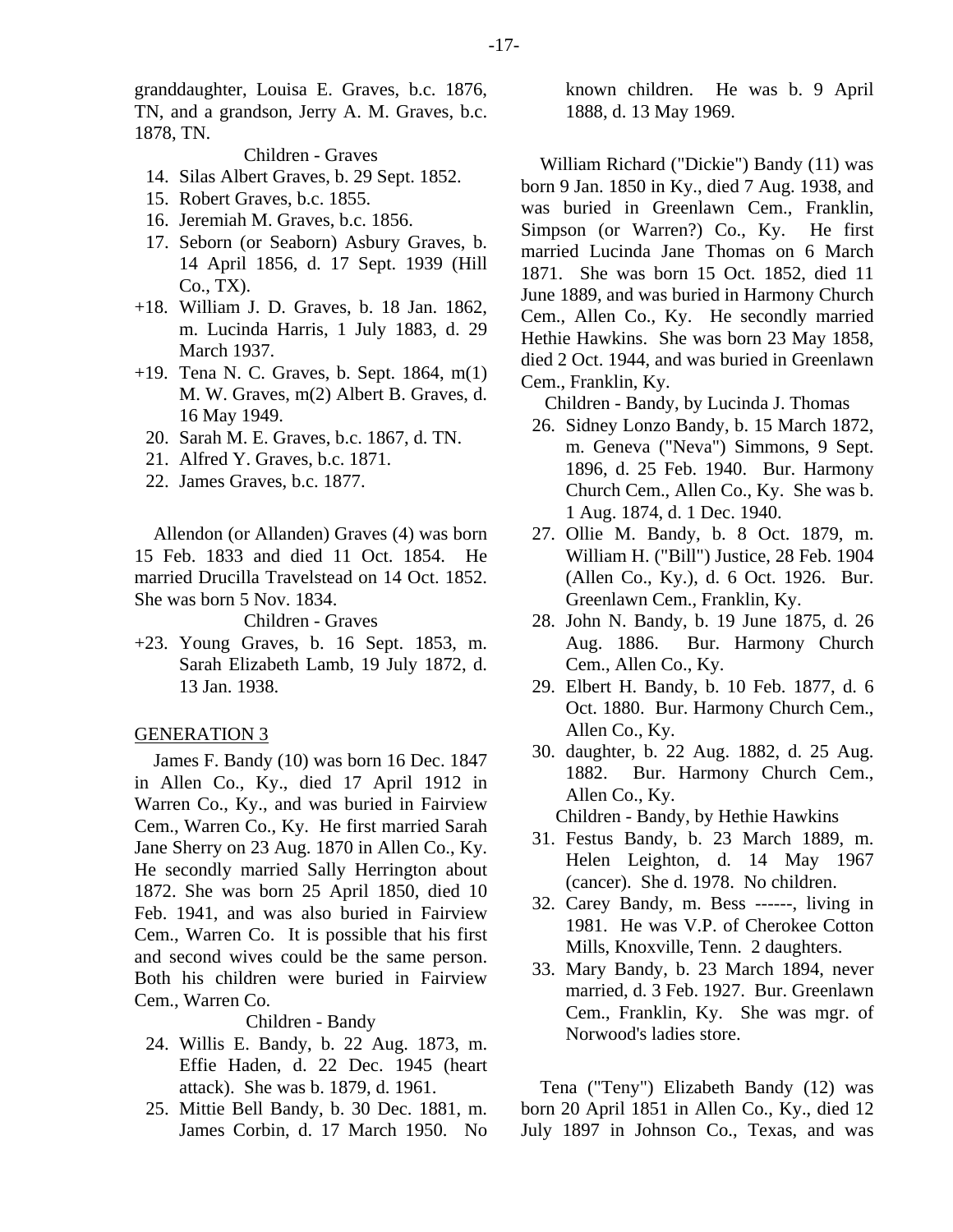granddaughter, Louisa E. Graves, b.c. 1876, TN, and a grandson, Jerry A. M. Graves, b.c. 1878, TN.

# Children - Graves

- 14. Silas Albert Graves, b. 29 Sept. 1852.
- 15. Robert Graves, b.c. 1855.
- 16. Jeremiah M. Graves, b.c. 1856.
- 17. Seborn (or Seaborn) Asbury Graves, b. 14 April 1856, d. 17 Sept. 1939 (Hill Co., TX).
- +18. William J. D. Graves, b. 18 Jan. 1862, m. Lucinda Harris, 1 July 1883, d. 29 March 1937.
- +19. Tena N. C. Graves, b. Sept. 1864, m(1) M. W. Graves, m(2) Albert B. Graves, d. 16 May 1949.
	- 20. Sarah M. E. Graves, b.c. 1867, d. TN.
	- 21. Alfred Y. Graves, b.c. 1871.
	- 22. James Graves, b.c. 1877.

Allendon (or Allanden) Graves (4) was born 15 Feb. 1833 and died 11 Oct. 1854. He married Drucilla Travelstead on 14 Oct. 1852. She was born 5 Nov. 1834.

Children - Graves

+23. Young Graves, b. 16 Sept. 1853, m. Sarah Elizabeth Lamb, 19 July 1872, d. 13 Jan. 1938.

#### GENERATION 3

James F. Bandy (10) was born 16 Dec. 1847 in Allen Co., Ky., died 17 April 1912 in Warren Co., Ky., and was buried in Fairview Cem., Warren Co., Ky. He first married Sarah Jane Sherry on 23 Aug. 1870 in Allen Co., Ky. He secondly married Sally Herrington about 1872. She was born 25 April 1850, died 10 Feb. 1941, and was also buried in Fairview Cem., Warren Co. It is possible that his first and second wives could be the same person. Both his children were buried in Fairview Cem., Warren Co.

Children - Bandy

- 24. Willis E. Bandy, b. 22 Aug. 1873, m. Effie Haden, d. 22 Dec. 1945 (heart attack). She was b. 1879, d. 1961.
- 25. Mittie Bell Bandy, b. 30 Dec. 1881, m. James Corbin, d. 17 March 1950. No

known children. He was b. 9 April 1888, d. 13 May 1969.

William Richard ("Dickie") Bandy (11) was born 9 Jan. 1850 in Ky., died 7 Aug. 1938, and was buried in Greenlawn Cem., Franklin, Simpson (or Warren?) Co., Ky. He first married Lucinda Jane Thomas on 6 March 1871. She was born 15 Oct. 1852, died 11 June 1889, and was buried in Harmony Church Cem., Allen Co., Ky. He secondly married Hethie Hawkins. She was born 23 May 1858, died 2 Oct. 1944, and was buried in Greenlawn Cem., Franklin, Ky.

Children - Bandy, by Lucinda J. Thomas

- 26. Sidney Lonzo Bandy, b. 15 March 1872, m. Geneva ("Neva") Simmons, 9 Sept. 1896, d. 25 Feb. 1940. Bur. Harmony Church Cem., Allen Co., Ky. She was b. 1 Aug. 1874, d. 1 Dec. 1940.
- 27. Ollie M. Bandy, b. 8 Oct. 1879, m. William H. ("Bill") Justice, 28 Feb. 1904 (Allen Co., Ky.), d. 6 Oct. 1926. Bur. Greenlawn Cem., Franklin, Ky.
- 28. John N. Bandy, b. 19 June 1875, d. 26 Aug. 1886. Bur. Harmony Church Cem., Allen Co., Ky.
- 29. Elbert H. Bandy, b. 10 Feb. 1877, d. 6 Oct. 1880. Bur. Harmony Church Cem., Allen Co., Ky.
- 30. daughter, b. 22 Aug. 1882, d. 25 Aug. 1882. Bur. Harmony Church Cem., Allen Co., Ky.

Children - Bandy, by Hethie Hawkins

- 31. Festus Bandy, b. 23 March 1889, m. Helen Leighton, d. 14 May 1967 (cancer). She d. 1978. No children.
- 32. Carey Bandy, m. Bess ------, living in 1981. He was V.P. of Cherokee Cotton Mills, Knoxville, Tenn. 2 daughters.
- 33. Mary Bandy, b. 23 March 1894, never married, d. 3 Feb. 1927. Bur. Greenlawn Cem., Franklin, Ky. She was mgr. of Norwood's ladies store.

Tena ("Teny") Elizabeth Bandy (12) was born 20 April 1851 in Allen Co., Ky., died 12 July 1897 in Johnson Co., Texas, and was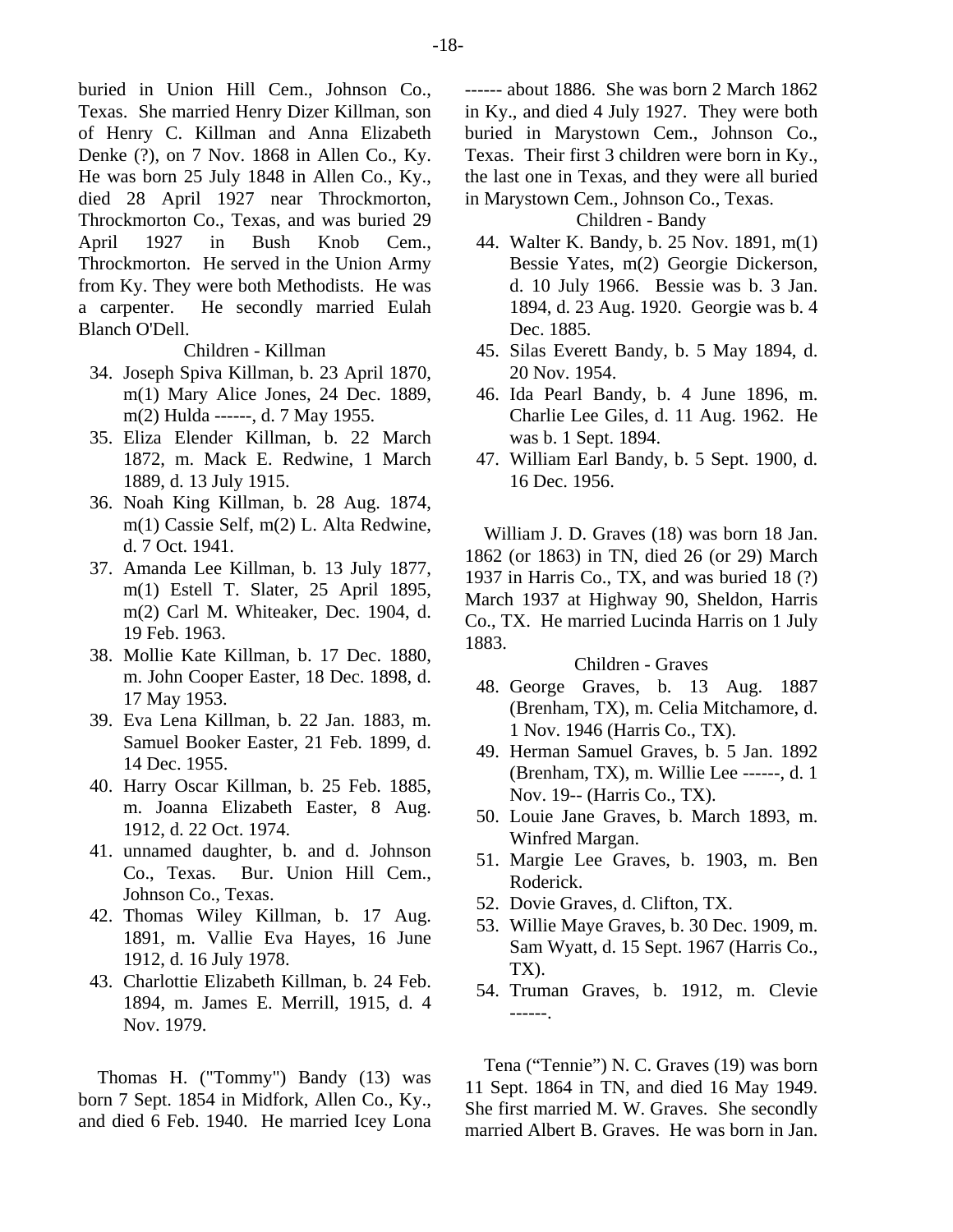buried in Union Hill Cem., Johnson Co., Texas. She married Henry Dizer Killman, son of Henry C. Killman and Anna Elizabeth Denke (?), on 7 Nov. 1868 in Allen Co., Ky. He was born 25 July 1848 in Allen Co., Ky., died 28 April 1927 near Throckmorton, Throckmorton Co., Texas, and was buried 29 April 1927 in Bush Knob Cem., Throckmorton. He served in the Union Army from Ky. They were both Methodists. He was a carpenter. He secondly married Eulah Blanch O'Dell.

#### Children - Killman

- 34. Joseph Spiva Killman, b. 23 April 1870, m(1) Mary Alice Jones, 24 Dec. 1889, m(2) Hulda ------, d. 7 May 1955.
- 35. Eliza Elender Killman, b. 22 March 1872, m. Mack E. Redwine, 1 March 1889, d. 13 July 1915.
- 36. Noah King Killman, b. 28 Aug. 1874, m(1) Cassie Self, m(2) L. Alta Redwine, d. 7 Oct. 1941.
- 37. Amanda Lee Killman, b. 13 July 1877, m(1) Estell T. Slater, 25 April 1895, m(2) Carl M. Whiteaker, Dec. 1904, d. 19 Feb. 1963.
- 38. Mollie Kate Killman, b. 17 Dec. 1880, m. John Cooper Easter, 18 Dec. 1898, d. 17 May 1953.
- 39. Eva Lena Killman, b. 22 Jan. 1883, m. Samuel Booker Easter, 21 Feb. 1899, d. 14 Dec. 1955.
- 40. Harry Oscar Killman, b. 25 Feb. 1885, m. Joanna Elizabeth Easter, 8 Aug. 1912, d. 22 Oct. 1974.
- 41. unnamed daughter, b. and d. Johnson Co., Texas. Bur. Union Hill Cem., Johnson Co., Texas.
- 42. Thomas Wiley Killman, b. 17 Aug. 1891, m. Vallie Eva Hayes, 16 June 1912, d. 16 July 1978.
- 43. Charlottie Elizabeth Killman, b. 24 Feb. 1894, m. James E. Merrill, 1915, d. 4 Nov. 1979.

Thomas H. ("Tommy") Bandy (13) was born 7 Sept. 1854 in Midfork, Allen Co., Ky., and died 6 Feb. 1940. He married Icey Lona ------ about 1886. She was born 2 March 1862 in Ky., and died 4 July 1927. They were both buried in Marystown Cem., Johnson Co., Texas. Their first 3 children were born in Ky., the last one in Texas, and they were all buried in Marystown Cem., Johnson Co., Texas.

Children - Bandy

- 44. Walter K. Bandy, b. 25 Nov. 1891, m(1) Bessie Yates, m(2) Georgie Dickerson, d. 10 July 1966. Bessie was b. 3 Jan. 1894, d. 23 Aug. 1920. Georgie was b. 4 Dec. 1885.
- 45. Silas Everett Bandy, b. 5 May 1894, d. 20 Nov. 1954.
- 46. Ida Pearl Bandy, b. 4 June 1896, m. Charlie Lee Giles, d. 11 Aug. 1962. He was b. 1 Sept. 1894.
- 47. William Earl Bandy, b. 5 Sept. 1900, d. 16 Dec. 1956.

William J. D. Graves (18) was born 18 Jan. 1862 (or 1863) in TN, died 26 (or 29) March 1937 in Harris Co., TX, and was buried 18 (?) March 1937 at Highway 90, Sheldon, Harris Co., TX. He married Lucinda Harris on 1 July 1883.

#### Children - Graves

- 48. George Graves, b. 13 Aug. 1887 (Brenham, TX), m. Celia Mitchamore, d. 1 Nov. 1946 (Harris Co., TX).
- 49. Herman Samuel Graves, b. 5 Jan. 1892 (Brenham, TX), m. Willie Lee ------, d. 1 Nov. 19-- (Harris Co., TX).
- 50. Louie Jane Graves, b. March 1893, m. Winfred Margan.
- 51. Margie Lee Graves, b. 1903, m. Ben Roderick.
- 52. Dovie Graves, d. Clifton, TX.
- 53. Willie Maye Graves, b. 30 Dec. 1909, m. Sam Wyatt, d. 15 Sept. 1967 (Harris Co., TX).
- 54. Truman Graves, b. 1912, m. Clevie ------.

Tena ("Tennie") N. C. Graves (19) was born 11 Sept. 1864 in TN, and died 16 May 1949. She first married M. W. Graves. She secondly married Albert B. Graves. He was born in Jan.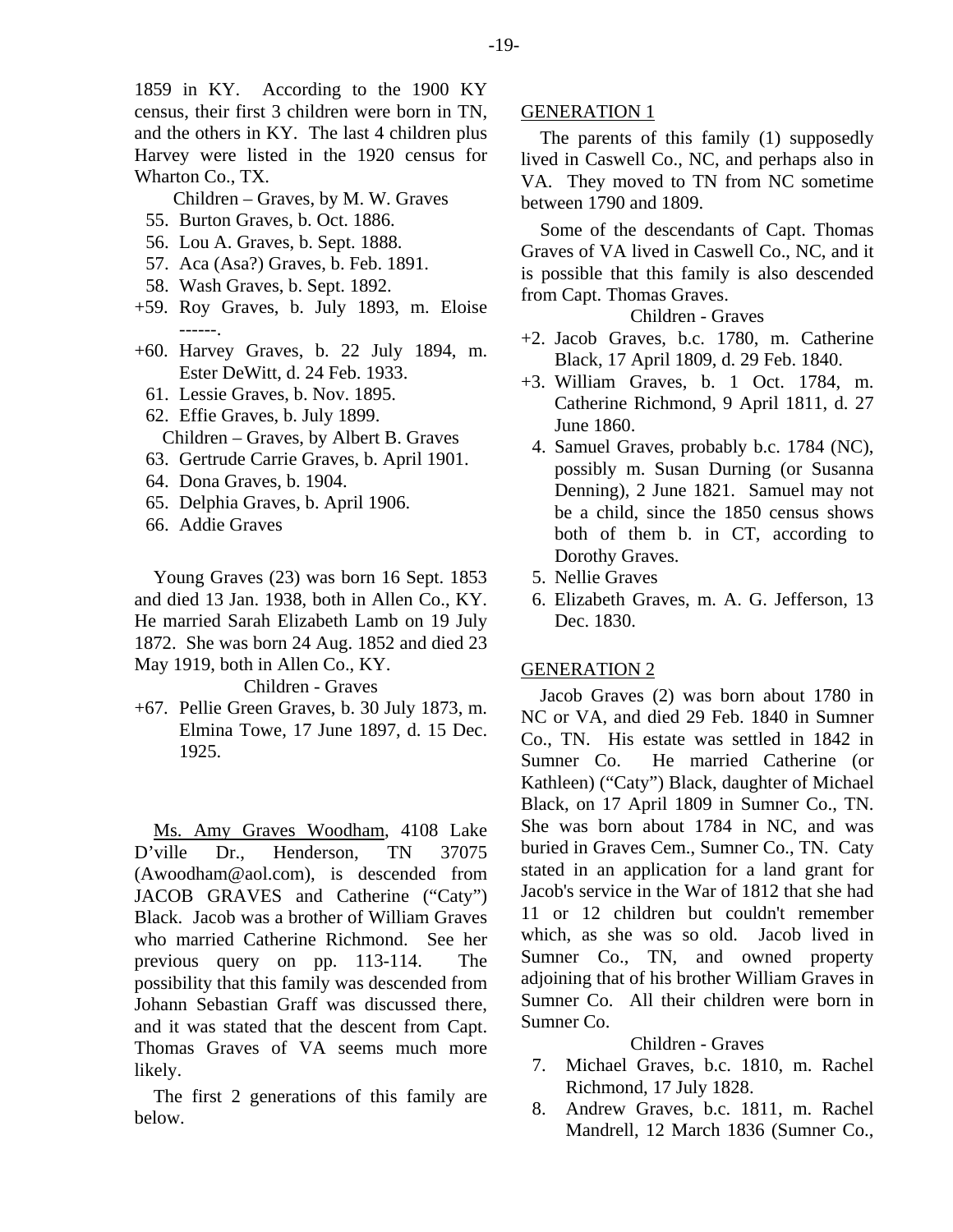1859 in KY. According to the 1900 KY census, their first 3 children were born in TN, and the others in KY. The last 4 children plus Harvey were listed in the 1920 census for Wharton Co., TX.

- Children Graves, by M. W. Graves
- 55. Burton Graves, b. Oct. 1886.
- 56. Lou A. Graves, b. Sept. 1888.
- 57. Aca (Asa?) Graves, b. Feb. 1891.
- 58. Wash Graves, b. Sept. 1892.
- +59. Roy Graves, b. July 1893, m. Eloise ------.
- +60. Harvey Graves, b. 22 July 1894, m. Ester DeWitt, d. 24 Feb. 1933.
	- 61. Lessie Graves, b. Nov. 1895.
	- 62. Effie Graves, b. July 1899.
	- Children Graves, by Albert B. Graves
	- 63. Gertrude Carrie Graves, b. April 1901.
	- 64. Dona Graves, b. 1904.
	- 65. Delphia Graves, b. April 1906.
	- 66. Addie Graves

Young Graves (23) was born 16 Sept. 1853 and died 13 Jan. 1938, both in Allen Co., KY. He married Sarah Elizabeth Lamb on 19 July 1872. She was born 24 Aug. 1852 and died 23 May 1919, both in Allen Co., KY.

#### Children - Graves

+67. Pellie Green Graves, b. 30 July 1873, m. Elmina Towe, 17 June 1897, d. 15 Dec. 1925.

Ms. Amy Graves Woodham, 4108 Lake D'ville Dr., Henderson, TN 37075 (Awoodham@aol.com), is descended from JACOB GRAVES and Catherine ("Caty") Black. Jacob was a brother of William Graves who married Catherine Richmond. See her previous query on pp. 113-114. The possibility that this family was descended from Johann Sebastian Graff was discussed there, and it was stated that the descent from Capt. Thomas Graves of VA seems much more likely.

The first 2 generations of this family are below.

#### GENERATION 1

The parents of this family (1) supposedly lived in Caswell Co., NC, and perhaps also in VA. They moved to TN from NC sometime between 1790 and 1809.

Some of the descendants of Capt. Thomas Graves of VA lived in Caswell Co., NC, and it is possible that this family is also descended from Capt. Thomas Graves.

# Children - Graves

- +2. Jacob Graves, b.c. 1780, m. Catherine Black, 17 April 1809, d. 29 Feb. 1840.
- +3. William Graves, b. 1 Oct. 1784, m. Catherine Richmond, 9 April 1811, d. 27 June 1860.
	- 4. Samuel Graves, probably b.c. 1784 (NC), possibly m. Susan Durning (or Susanna Denning), 2 June 1821. Samuel may not be a child, since the 1850 census shows both of them b. in CT, according to Dorothy Graves.
	- 5. Nellie Graves
	- 6. Elizabeth Graves, m. A. G. Jefferson, 13 Dec. 1830.

#### GENERATION 2

Jacob Graves (2) was born about 1780 in NC or VA, and died 29 Feb. 1840 in Sumner Co., TN. His estate was settled in 1842 in Sumner Co. He married Catherine (or Kathleen) ("Caty") Black, daughter of Michael Black, on 17 April 1809 in Sumner Co., TN. She was born about 1784 in NC, and was buried in Graves Cem., Sumner Co., TN. Caty stated in an application for a land grant for Jacob's service in the War of 1812 that she had 11 or 12 children but couldn't remember which, as she was so old. Jacob lived in Sumner Co., TN, and owned property adjoining that of his brother William Graves in Sumner Co. All their children were born in Sumner Co.

#### Children - Graves

- 7. Michael Graves, b.c. 1810, m. Rachel Richmond, 17 July 1828.
- 8. Andrew Graves, b.c. 1811, m. Rachel Mandrell, 12 March 1836 (Sumner Co.,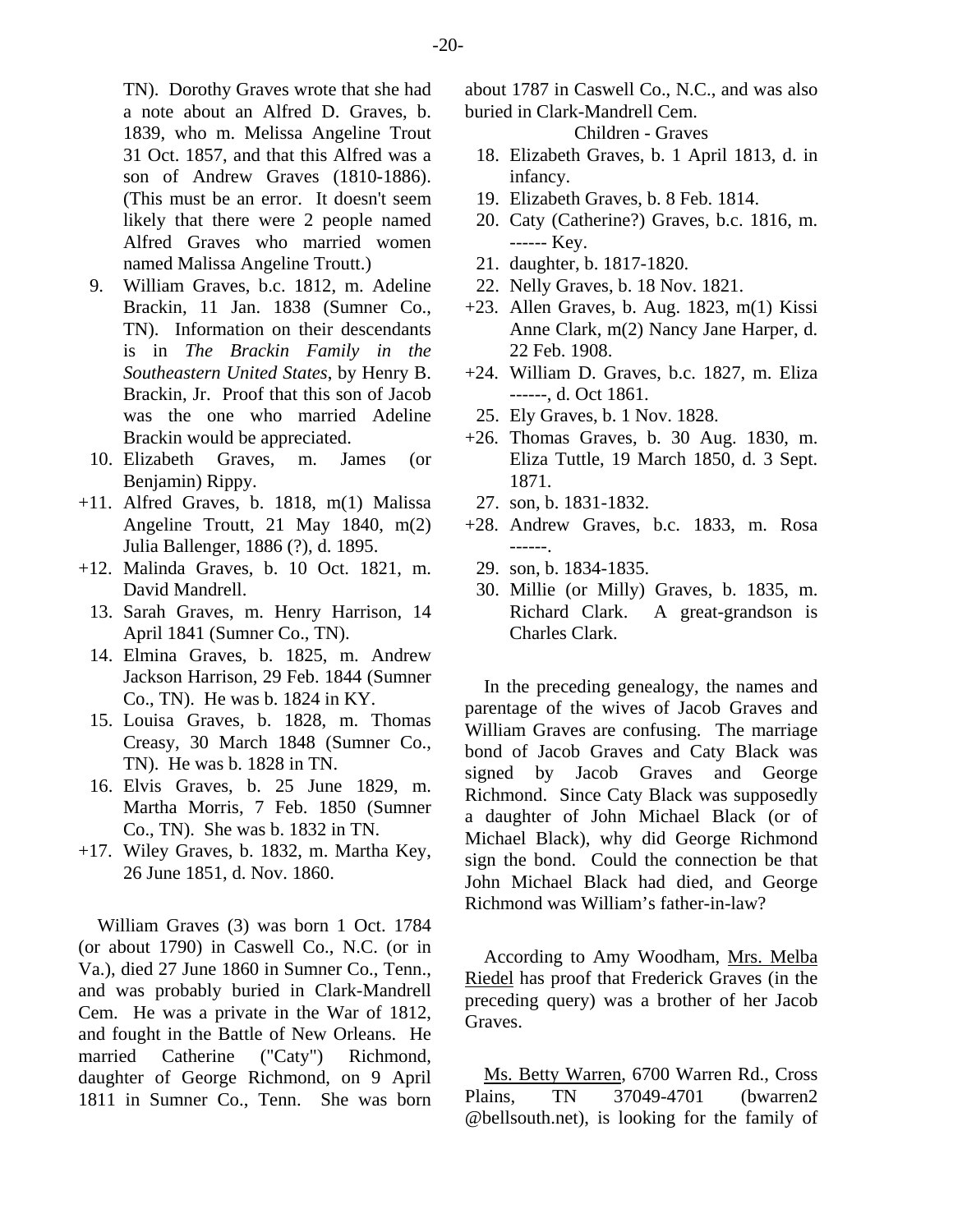TN). Dorothy Graves wrote that she had a note about an Alfred D. Graves, b. 1839, who m. Melissa Angeline Trout 31 Oct. 1857, and that this Alfred was a son of Andrew Graves (1810-1886). (This must be an error. It doesn't seem likely that there were 2 people named Alfred Graves who married women named Malissa Angeline Troutt.)

- 9. William Graves, b.c. 1812, m. Adeline Brackin, 11 Jan. 1838 (Sumner Co., TN). Information on their descendants is in *The Brackin Family in the Southeastern United States*, by Henry B. Brackin, Jr. Proof that this son of Jacob was the one who married Adeline Brackin would be appreciated.
- 10. Elizabeth Graves, m. James (or Benjamin) Rippy.
- +11. Alfred Graves, b. 1818, m(1) Malissa Angeline Troutt, 21 May 1840, m(2) Julia Ballenger, 1886 (?), d. 1895.
- +12. Malinda Graves, b. 10 Oct. 1821, m. David Mandrell.
	- 13. Sarah Graves, m. Henry Harrison, 14 April 1841 (Sumner Co., TN).
	- 14. Elmina Graves, b. 1825, m. Andrew Jackson Harrison, 29 Feb. 1844 (Sumner Co., TN). He was b. 1824 in KY.
	- 15. Louisa Graves, b. 1828, m. Thomas Creasy, 30 March 1848 (Sumner Co., TN). He was b. 1828 in TN.
	- 16. Elvis Graves, b. 25 June 1829, m. Martha Morris, 7 Feb. 1850 (Sumner Co., TN). She was b. 1832 in TN.
- +17. Wiley Graves, b. 1832, m. Martha Key, 26 June 1851, d. Nov. 1860.

William Graves (3) was born 1 Oct. 1784 (or about 1790) in Caswell Co., N.C. (or in Va.), died 27 June 1860 in Sumner Co., Tenn., and was probably buried in Clark-Mandrell Cem. He was a private in the War of 1812, and fought in the Battle of New Orleans. He married Catherine ("Caty") Richmond, daughter of George Richmond, on 9 April 1811 in Sumner Co., Tenn. She was born about 1787 in Caswell Co., N.C., and was also buried in Clark-Mandrell Cem.

Children - Graves

- 18. Elizabeth Graves, b. 1 April 1813, d. in infancy.
- 19. Elizabeth Graves, b. 8 Feb. 1814.
- 20. Caty (Catherine?) Graves, b.c. 1816, m. ------ Key.
- 21. daughter, b. 1817-1820.
- 22. Nelly Graves, b. 18 Nov. 1821.
- $+23$ . Allen Graves, b. Aug. 1823, m(1) Kissi Anne Clark, m(2) Nancy Jane Harper, d. 22 Feb. 1908.
- +24. William D. Graves, b.c. 1827, m. Eliza ------, d. Oct 1861.
- 25. Ely Graves, b. 1 Nov. 1828.
- +26. Thomas Graves, b. 30 Aug. 1830, m. Eliza Tuttle, 19 March 1850, d. 3 Sept. 1871.
	- 27. son, b. 1831-1832.
- +28. Andrew Graves, b.c. 1833, m. Rosa ------.
	- 29. son, b. 1834-1835.
	- 30. Millie (or Milly) Graves, b. 1835, m. Richard Clark. A great-grandson is Charles Clark.

In the preceding genealogy, the names and parentage of the wives of Jacob Graves and William Graves are confusing. The marriage bond of Jacob Graves and Caty Black was signed by Jacob Graves and George Richmond. Since Caty Black was supposedly a daughter of John Michael Black (or of Michael Black), why did George Richmond sign the bond. Could the connection be that John Michael Black had died, and George Richmond was William's father-in-law?

According to Amy Woodham, Mrs. Melba Riedel has proof that Frederick Graves (in the preceding query) was a brother of her Jacob Graves.

Ms. Betty Warren, 6700 Warren Rd., Cross Plains, TN 37049-4701 (bwarren2 @bellsouth.net), is looking for the family of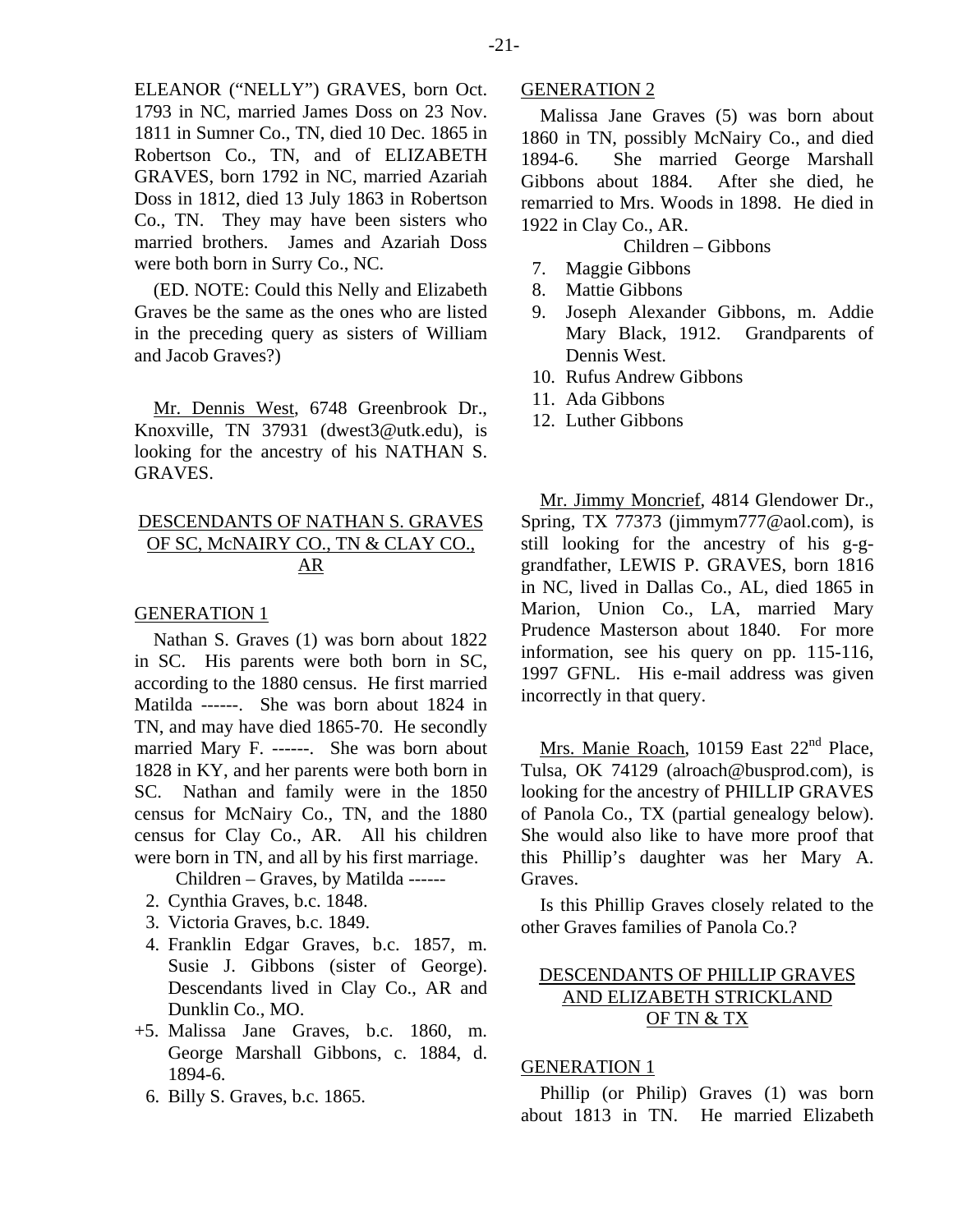ELEANOR ("NELLY") GRAVES, born Oct. 1793 in NC, married James Doss on 23 Nov. 1811 in Sumner Co., TN, died 10 Dec. 1865 in Robertson Co., TN, and of ELIZABETH GRAVES, born 1792 in NC, married Azariah Doss in 1812, died 13 July 1863 in Robertson Co., TN. They may have been sisters who married brothers. James and Azariah Doss were both born in Surry Co., NC.

(ED. NOTE: Could this Nelly and Elizabeth Graves be the same as the ones who are listed in the preceding query as sisters of William and Jacob Graves?)

Mr. Dennis West, 6748 Greenbrook Dr., Knoxville, TN 37931 (dwest3@utk.edu), is looking for the ancestry of his NATHAN S. GRAVES.

# DESCENDANTS OF NATHAN S. GRAVES OF SC, McNAIRY CO., TN & CLAY CO., AR

#### GENERATION 1

Nathan S. Graves (1) was born about 1822 in SC. His parents were both born in SC, according to the 1880 census. He first married Matilda ------. She was born about 1824 in TN, and may have died 1865-70. He secondly married Mary F. ------. She was born about 1828 in KY, and her parents were both born in SC. Nathan and family were in the 1850 census for McNairy Co., TN, and the 1880 census for Clay Co., AR. All his children were born in TN, and all by his first marriage.

Children – Graves, by Matilda ------

- 2. Cynthia Graves, b.c. 1848.
- 3. Victoria Graves, b.c. 1849.
- 4. Franklin Edgar Graves, b.c. 1857, m. Susie J. Gibbons (sister of George). Descendants lived in Clay Co., AR and Dunklin Co., MO.
- +5. Malissa Jane Graves, b.c. 1860, m. George Marshall Gibbons, c. 1884, d. 1894-6.
	- 6. Billy S. Graves, b.c. 1865.

#### GENERATION 2

Malissa Jane Graves (5) was born about 1860 in TN, possibly McNairy Co., and died 1894-6. She married George Marshall Gibbons about 1884. After she died, he remarried to Mrs. Woods in 1898. He died in 1922 in Clay Co., AR.

Children – Gibbons

- 7. Maggie Gibbons
- 8. Mattie Gibbons
- 9. Joseph Alexander Gibbons, m. Addie Mary Black, 1912. Grandparents of Dennis West.
- 10. Rufus Andrew Gibbons
- 11. Ada Gibbons
- 12. Luther Gibbons

Mr. Jimmy Moncrief, 4814 Glendower Dr., Spring, TX 77373 (jimmym777@aol.com), is still looking for the ancestry of his g-ggrandfather, LEWIS P. GRAVES, born 1816 in NC, lived in Dallas Co., AL, died 1865 in Marion, Union Co., LA, married Mary Prudence Masterson about 1840. For more information, see his query on pp. 115-116, 1997 GFNL. His e-mail address was given incorrectly in that query.

Mrs. Manie Roach, 10159 East 22<sup>nd</sup> Place, Tulsa, OK 74129 (alroach@busprod.com), is looking for the ancestry of PHILLIP GRAVES of Panola Co., TX (partial genealogy below). She would also like to have more proof that this Phillip's daughter was her Mary A. Graves.

Is this Phillip Graves closely related to the other Graves families of Panola Co.?

# DESCENDANTS OF PHILLIP GRAVES AND ELIZABETH STRICKLAND OF TN & TX

#### GENERATION 1

Phillip (or Philip) Graves (1) was born about 1813 in TN. He married Elizabeth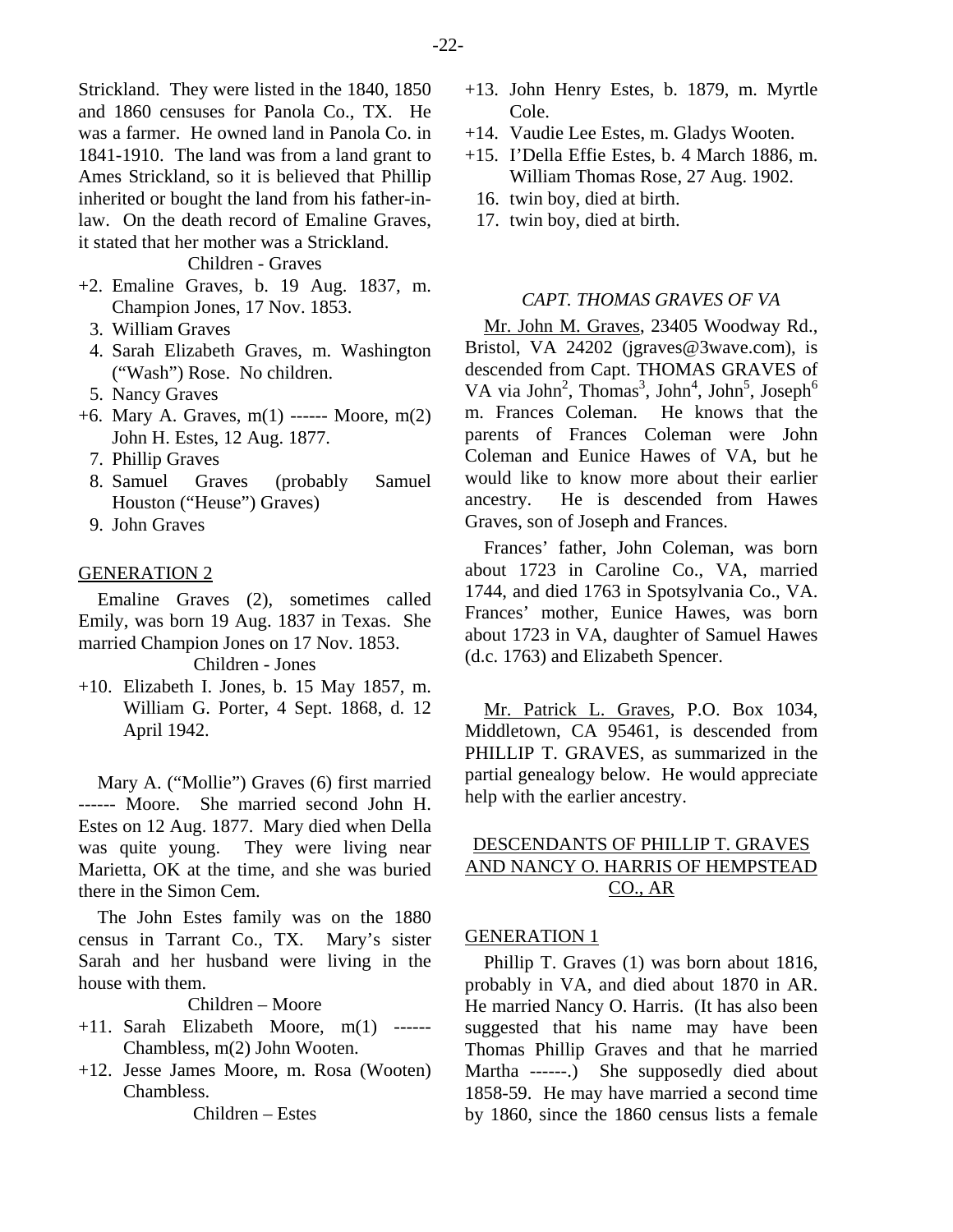Strickland. They were listed in the 1840, 1850 and 1860 censuses for Panola Co., TX. He was a farmer. He owned land in Panola Co. in 1841-1910. The land was from a land grant to Ames Strickland, so it is believed that Phillip inherited or bought the land from his father-inlaw. On the death record of Emaline Graves, it stated that her mother was a Strickland.

Children - Graves

- +2. Emaline Graves, b. 19 Aug. 1837, m. Champion Jones, 17 Nov. 1853.
	- 3. William Graves
	- 4. Sarah Elizabeth Graves, m. Washington ("Wash") Rose. No children.
	- 5. Nancy Graves
- +6. Mary A. Graves, m(1) ------ Moore, m(2) John H. Estes, 12 Aug. 1877.
	- 7. Phillip Graves
	- 8. Samuel Graves (probably Samuel Houston ("Heuse") Graves)
	- 9. John Graves

#### GENERATION 2

Emaline Graves (2), sometimes called Emily, was born 19 Aug. 1837 in Texas. She married Champion Jones on 17 Nov. 1853.

Children - Jones

+10. Elizabeth I. Jones, b. 15 May 1857, m. William G. Porter, 4 Sept. 1868, d. 12 April 1942.

Mary A. ("Mollie") Graves (6) first married ------ Moore. She married second John H. Estes on 12 Aug. 1877. Mary died when Della was quite young. They were living near Marietta, OK at the time, and she was buried there in the Simon Cem.

The John Estes family was on the 1880 census in Tarrant Co., TX. Mary's sister Sarah and her husband were living in the house with them.

# Children – Moore

- $+11.$  Sarah Elizabeth Moore,  $m(1)$  ------Chambless, m(2) John Wooten.
- +12. Jesse James Moore, m. Rosa (Wooten) Chambless.

Children – Estes

- +13. John Henry Estes, b. 1879, m. Myrtle Cole.
- +14. Vaudie Lee Estes, m. Gladys Wooten.
- +15. I'Della Effie Estes, b. 4 March 1886, m. William Thomas Rose, 27 Aug. 1902.
	- 16. twin boy, died at birth.
	- 17. twin boy, died at birth.

# *CAPT. THOMAS GRAVES OF VA*

Mr. John M. Graves, 23405 Woodway Rd., Bristol, VA 24202 (jgraves@3wave.com), is descended from Capt. THOMAS GRAVES of VA via John<sup>2</sup>, Thomas<sup>3</sup>, John<sup>4</sup>, John<sup>5</sup>, Joseph<sup>6</sup> m. Frances Coleman. He knows that the parents of Frances Coleman were John Coleman and Eunice Hawes of VA, but he would like to know more about their earlier ancestry. He is descended from Hawes Graves, son of Joseph and Frances.

Frances' father, John Coleman, was born about 1723 in Caroline Co., VA, married 1744, and died 1763 in Spotsylvania Co., VA. Frances' mother, Eunice Hawes, was born about 1723 in VA, daughter of Samuel Hawes (d.c. 1763) and Elizabeth Spencer.

Mr. Patrick L. Graves, P.O. Box 1034, Middletown, CA 95461, is descended from PHILLIP T. GRAVES, as summarized in the partial genealogy below. He would appreciate help with the earlier ancestry.

# DESCENDANTS OF PHILLIP T. GRAVES AND NANCY O. HARRIS OF HEMPSTEAD CO., AR

#### GENERATION 1

Phillip T. Graves (1) was born about 1816, probably in VA, and died about 1870 in AR. He married Nancy O. Harris. (It has also been suggested that his name may have been Thomas Phillip Graves and that he married Martha ------.) She supposedly died about 1858-59. He may have married a second time by 1860, since the 1860 census lists a female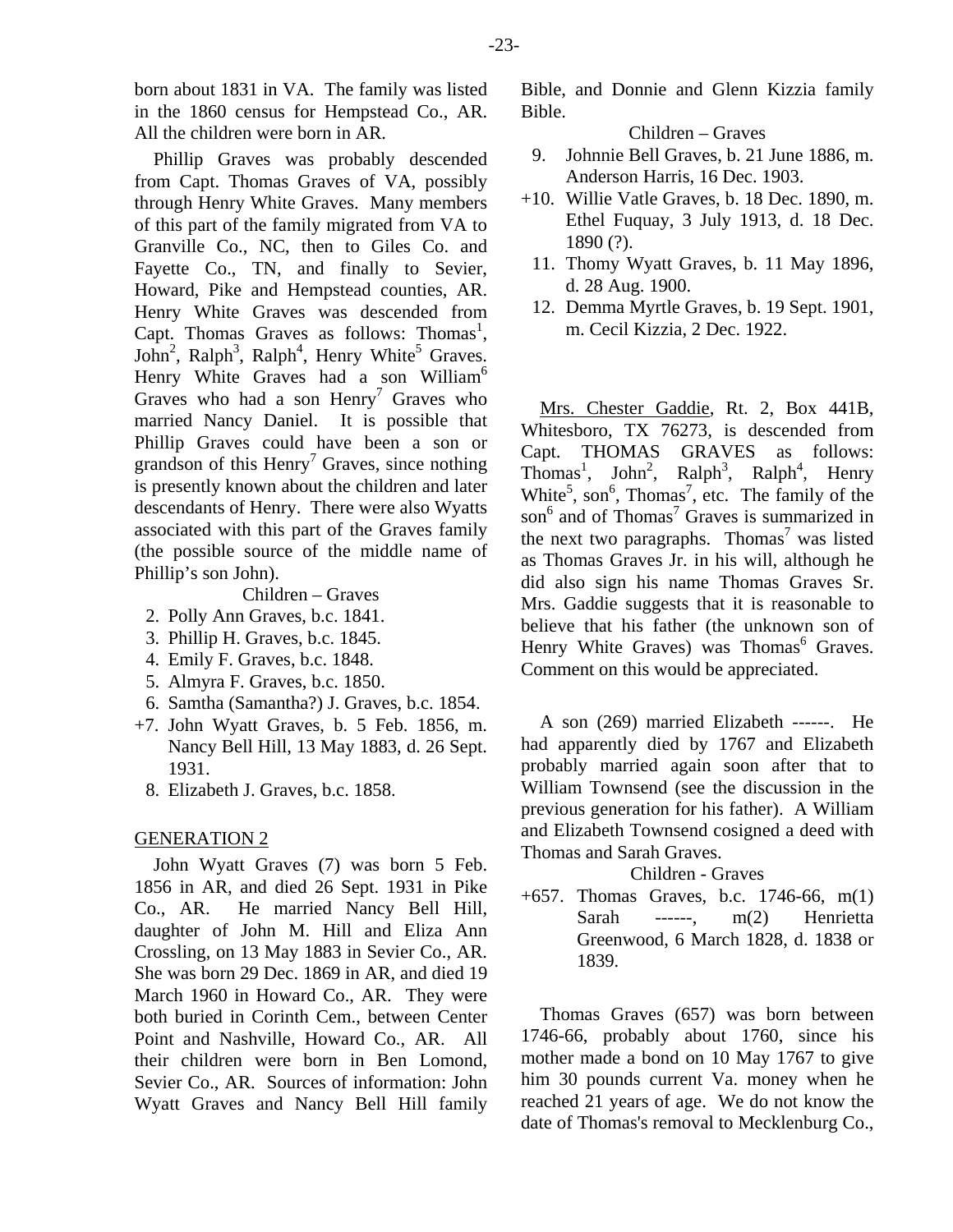born about 1831 in VA. The family was listed in the 1860 census for Hempstead Co., AR. All the children were born in AR.

Phillip Graves was probably descended from Capt. Thomas Graves of VA, possibly through Henry White Graves. Many members of this part of the family migrated from VA to Granville Co., NC, then to Giles Co. and Fayette Co., TN, and finally to Sevier, Howard, Pike and Hempstead counties, AR. Henry White Graves was descended from Capt. Thomas Graves as follows: Thomas<sup>1</sup>, John<sup>2</sup>, Ralph<sup>3</sup>, Ralph<sup>4</sup>, Henry White<sup>5</sup> Graves. Henry White Graves had a son William<sup>6</sup> Graves who had a son  $Henry<sup>7</sup>$  Graves who married Nancy Daniel. It is possible that Phillip Graves could have been a son or grandson of this Henry<sup>7</sup> Graves, since nothing is presently known about the children and later descendants of Henry. There were also Wyatts associated with this part of the Graves family (the possible source of the middle name of Phillip's son John).

#### Children – Graves

- 2. Polly Ann Graves, b.c. 1841.
- 3. Phillip H. Graves, b.c. 1845.
- 4. Emily F. Graves, b.c. 1848.
- 5. Almyra F. Graves, b.c. 1850.
- 6. Samtha (Samantha?) J. Graves, b.c. 1854.
- +7. John Wyatt Graves, b. 5 Feb. 1856, m. Nancy Bell Hill, 13 May 1883, d. 26 Sept. 1931.
	- 8. Elizabeth J. Graves, b.c. 1858.

#### GENERATION 2

John Wyatt Graves (7) was born 5 Feb. 1856 in AR, and died 26 Sept. 1931 in Pike Co., AR. He married Nancy Bell Hill, daughter of John M. Hill and Eliza Ann Crossling, on 13 May 1883 in Sevier Co., AR. She was born 29 Dec. 1869 in AR, and died 19 March 1960 in Howard Co., AR. They were both buried in Corinth Cem., between Center Point and Nashville, Howard Co., AR. All their children were born in Ben Lomond, Sevier Co., AR. Sources of information: John Wyatt Graves and Nancy Bell Hill family Bible, and Donnie and Glenn Kizzia family Bible.

Children – Graves

- 9. Johnnie Bell Graves, b. 21 June 1886, m. Anderson Harris, 16 Dec. 1903.
- +10. Willie Vatle Graves, b. 18 Dec. 1890, m. Ethel Fuquay, 3 July 1913, d. 18 Dec. 1890 (?).
- 11. Thomy Wyatt Graves, b. 11 May 1896, d. 28 Aug. 1900.
- 12. Demma Myrtle Graves, b. 19 Sept. 1901, m. Cecil Kizzia, 2 Dec. 1922.

Mrs. Chester Gaddie, Rt. 2, Box 441B, Whitesboro, TX 76273, is descended from Capt. THOMAS GRAVES as follows: Thomas<sup>1</sup>, John<sup>2</sup>, Ralph<sup>3</sup>, Ralph<sup>4</sup>, Henry White<sup>5</sup>, son<sup>6</sup>, Thomas<sup>7</sup>, etc. The family of the son<sup>6</sup> and of Thomas<sup>7</sup> Graves is summarized in the next two paragraphs. Thomas<sup>7</sup> was listed as Thomas Graves Jr. in his will, although he did also sign his name Thomas Graves Sr. Mrs. Gaddie suggests that it is reasonable to believe that his father (the unknown son of Henry White Graves) was Thomas<sup>6</sup> Graves. Comment on this would be appreciated.

A son (269) married Elizabeth ------. He had apparently died by 1767 and Elizabeth probably married again soon after that to William Townsend (see the discussion in the previous generation for his father). A William and Elizabeth Townsend cosigned a deed with Thomas and Sarah Graves.

Children - Graves

+657. Thomas Graves, b.c. 1746-66, m(1) Sarah ------, m(2) Henrietta Greenwood, 6 March 1828, d. 1838 or 1839.

Thomas Graves (657) was born between 1746-66, probably about 1760, since his mother made a bond on 10 May 1767 to give him 30 pounds current Va. money when he reached 21 years of age. We do not know the date of Thomas's removal to Mecklenburg Co.,